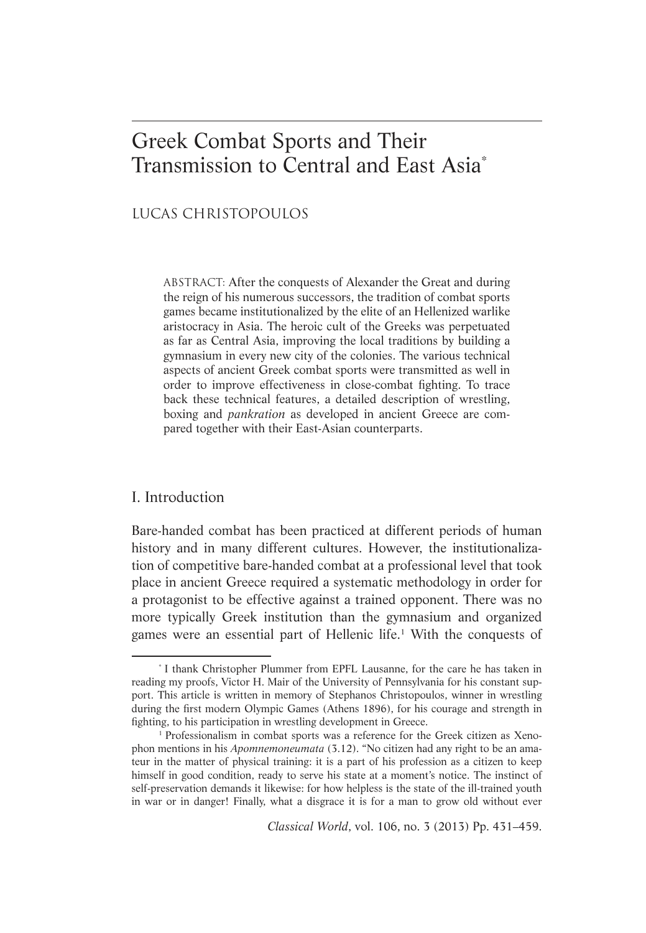# Greek Combat Sports and Their Transmission to Central and East Asia\*

# Lucas Christopoulos

ABSTRACT: After the conquests of Alexander the Great and during the reign of his numerous successors, the tradition of combat sports games became institutionalized by the elite of an Hellenized warlike aristocracy in Asia. The heroic cult of the Greeks was perpetuated as far as Central Asia, improving the local traditions by building a gymnasium in every new city of the colonies. The various technical aspects of ancient Greek combat sports were transmitted as well in order to improve effectiveness in close-combat fighting. To trace back these technical features, a detailed description of wrestling, boxing and *pankration* as developed in ancient Greece are compared together with their East-Asian counterparts.

## I. Introduction

Bare-handed combat has been practiced at different periods of human history and in many different cultures. However, the institutionalization of competitive bare-handed combat at a professional level that took place in ancient Greece required a systematic methodology in order for a protagonist to be effective against a trained opponent. There was no more typically Greek institution than the gymnasium and organized games were an essential part of Hellenic life.<sup>1</sup> With the conquests of

<sup>\*</sup> I thank Christopher Plummer from EPFL Lausanne, for the care he has taken in reading my proofs, Victor H. Mair of the University of Pennsylvania for his constant support. This article is written in memory of Stephanos Christopoulos, winner in wrestling during the first modern Olympic Games (Athens 1896), for his courage and strength in fighting, to his participation in wrestling development in Greece.

<sup>&</sup>lt;sup>1</sup> Professionalism in combat sports was a reference for the Greek citizen as Xenophon mentions in his *Apomnemoneumata* (3.12). "No citizen had any right to be an amateur in the matter of physical training: it is a part of his profession as a citizen to keep himself in good condition, ready to serve his state at a moment's notice. The instinct of self-preservation demands it likewise: for how helpless is the state of the ill-trained youth in war or in danger! Finally, what a disgrace it is for a man to grow old without ever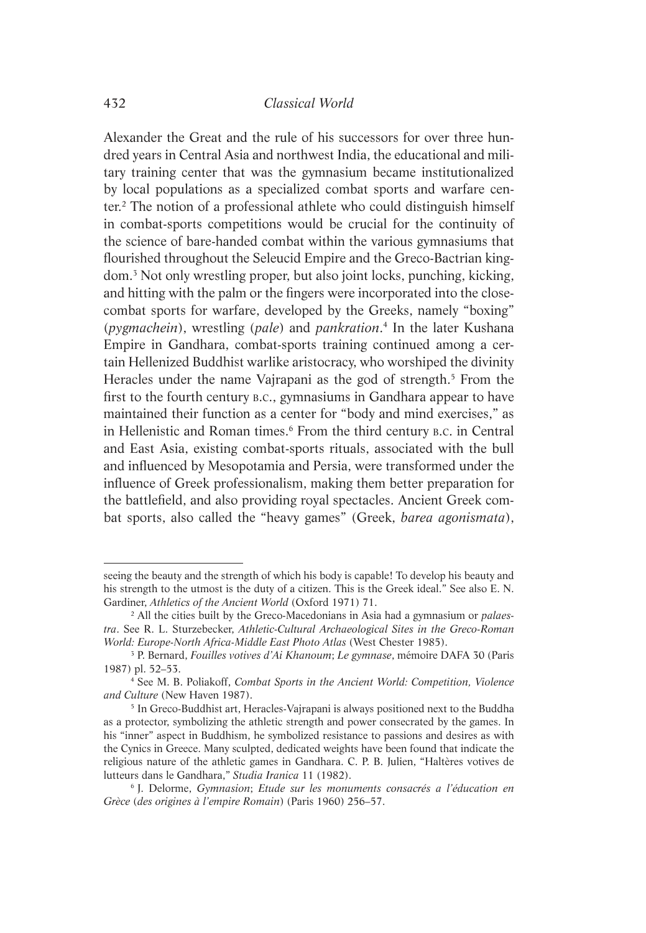Alexander the Great and the rule of his successors for over three hundred years in Central Asia and northwest India, the educational and military training center that was the gymnasium became institutionalized by local populations as a specialized combat sports and warfare center.<sup>2</sup> The notion of a professional athlete who could distinguish himself in combat-sports competitions would be crucial for the continuity of the science of bare-handed combat within the various gymnasiums that flourished throughout the Seleucid Empire and the Greco-Bactrian kingdom.<sup>3</sup> Not only wrestling proper, but also joint locks, punching, kicking, and hitting with the palm or the fingers were incorporated into the closecombat sports for warfare, developed by the Greeks, namely "boxing" (*pygmachein*), wrestling (*pale*) and *pankration*. 4 In the later Kushana Empire in Gandhara, combat-sports training continued among a certain Hellenized Buddhist warlike aristocracy, who worshiped the divinity Heracles under the name Vajrapani as the god of strength.<sup>5</sup> From the first to the fourth century B.C., gymnasiums in Gandhara appear to have maintained their function as a center for "body and mind exercises," as in Hellenistic and Roman times.<sup>6</sup> From the third century B.C. in Central and East Asia, existing combat-sports rituals, associated with the bull and influenced by Mesopotamia and Persia, were transformed under the influence of Greek professionalism, making them better preparation for the battlefield, and also providing royal spectacles. Ancient Greek combat sports, also called the "heavy games" (Greek, *barea agonismata*),

seeing the beauty and the strength of which his body is capable! To develop his beauty and his strength to the utmost is the duty of a citizen. This is the Greek ideal." See also E. N. Gardiner, *Athletics of the Ancient World* (Oxford 1971) 71.

<sup>2</sup> All the cities built by the Greco-Macedonians in Asia had a gymnasium or *palaestra*. See R. L. Sturzebecker, *Athletic-Cultural Archaeological Sites in the Greco-Roman World: Europe-North Africa-Middle East Photo Atlas* (West Chester 1985).

<sup>3</sup>P. Bernard, *Fouilles votives d'Ai Khanoum*; *Le gymnase*, mémoire DAFA 30 (Paris 1987) pl. 52–53.

<sup>4</sup>See M. B. Poliakoff, *Combat Sports in the Ancient World: Competition, Violence and Culture* (New Haven 1987).

<sup>&</sup>lt;sup>5</sup> In Greco-Buddhist art, Heracles-Vajrapani is always positioned next to the Buddha as a protector, symbolizing the athletic strength and power consecrated by the games. In his "inner" aspect in Buddhism, he symbolized resistance to passions and desires as with the Cynics in Greece. Many sculpted, dedicated weights have been found that indicate the religious nature of the athletic games in Gandhara. C. P. B. Julien, "Haltères votives de lutteurs dans le Gandhara," *Studia Iranica* 11 (1982).

<sup>6</sup>J. Delorme, *Gymnasion*; *Etude sur les monuments consacrés a l'éducation en Grèce* (*des origines à l'empire Romain*) (Paris 1960) 256–57.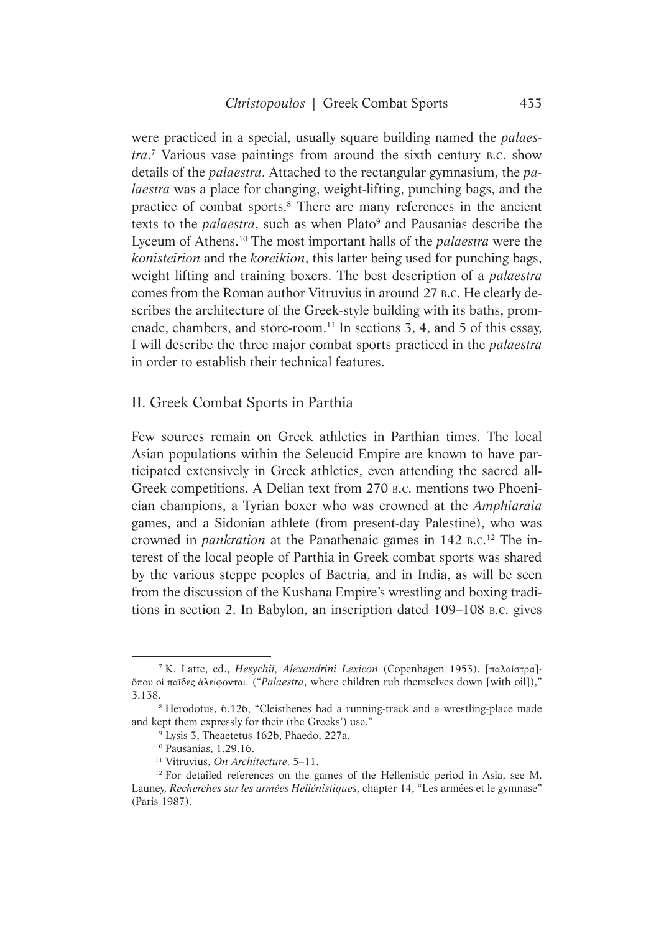were practiced in a special, usually square building named the *palaestra*. 7 Various vase paintings from around the sixth century B.C. show details of the *palaestra*. Attached to the rectangular gymnasium, the *palaestra* was a place for changing, weight-lifting, punching bags, and the practice of combat sports.<sup>8</sup> There are many references in the ancient texts to the *palaestra*, such as when Plato<sup>9</sup> and Pausanias describe the Lyceum of Athens.<sup>10</sup> The most important halls of the *palaestra* were the *konisteirion* and the *koreikion*, this latter being used for punching bags, weight lifting and training boxers. The best description of a *palaestra* comes from the Roman author Vitruvius in around 27 B.C. He clearly describes the architecture of the Greek-style building with its baths, promenade, chambers, and store-room.<sup>11</sup> In sections 3, 4, and 5 of this essay, I will describe the three major combat sports practiced in the *palaestra* in order to establish their technical features.

### II. Greek Combat Sports in Parthia

Few sources remain on Greek athletics in Parthian times. The local Asian populations within the Seleucid Empire are known to have participated extensively in Greek athletics, even attending the sacred all-Greek competitions. A Delian text from 270 B.C. mentions two Phoenician champions, a Tyrian boxer who was crowned at the *Amphiaraia*  games, and a Sidonian athlete (from present-day Palestine), who was crowned in *pankration* at the Panathenaic games in 142 B.C. 12 The interest of the local people of Parthia in Greek combat sports was shared by the various steppe peoples of Bactria, and in India, as will be seen from the discussion of the Kushana Empire's wrestling and boxing traditions in section 2. In Babylon, an inscription dated 109–108 B.C. gives

<sup>7</sup>K. Latte, ed., *Hesychii, Alexandrini Lexicon* (Copenhagen 1953). [παλαίστρα]· ὅπου οἱ παῖδες ἀλείφονται. ("*Palaestra*, where children rub themselves down [with oil])," 3.138.

<sup>8</sup>Herodotus, 6.126, "Cleisthenes had a running-track and a wrestling-place made and kept them expressly for their (the Greeks') use."

<sup>9</sup>Lysis 3, Theaetetus 162b, Phaedo, 227a.

<sup>&</sup>lt;sup>10</sup> Pausanias, 1.29.16.

<sup>&</sup>lt;sup>11</sup> Vitruvius, *On Architecture*. 5-11.

<sup>&</sup>lt;sup>12</sup> For detailed references on the games of the Hellenistic period in Asia, see M. Launey, *Recherches sur les armées Hellénistiques*, chapter 14, "Les armées et le gymnase" (Paris 1987).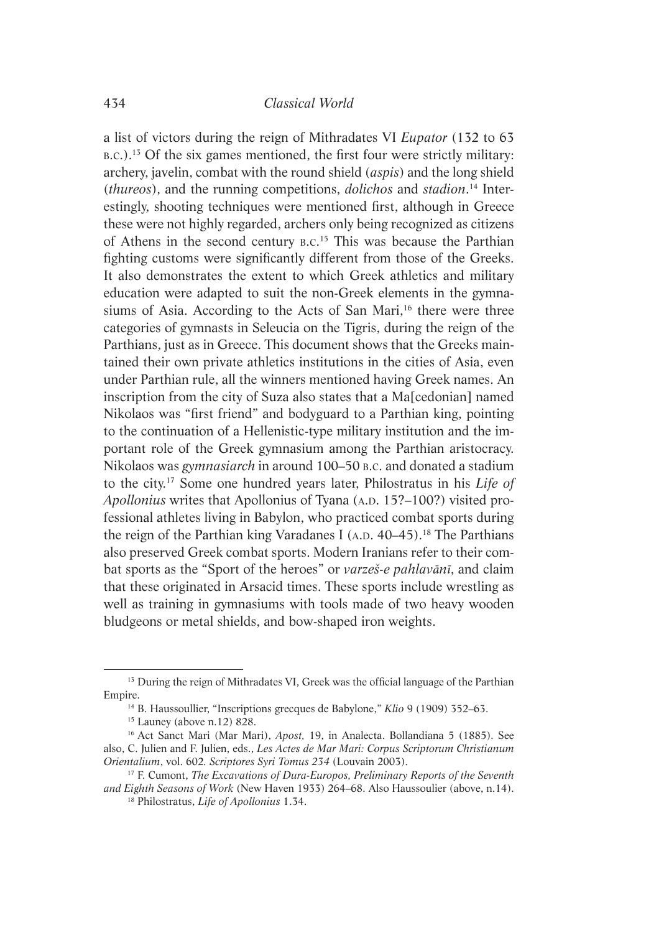#### 434 *Classical World*

a list of victors during the reign of Mithradates VI *Eupator* (132 to 63 <sup>B</sup>.C.).<sup>13</sup> Of the six games mentioned, the first four were strictly military: archery, javelin, combat with the round shield (*aspis*) and the long shield (*thureos*), and the running competitions, *dolichos* and *stadion*. 14 Interestingly, shooting techniques were mentioned first, although in Greece these were not highly regarded, archers only being recognized as citizens of Athens in the second century B.C. <sup>15</sup> This was because the Parthian fighting customs were significantly different from those of the Greeks. It also demonstrates the extent to which Greek athletics and military education were adapted to suit the non-Greek elements in the gymnasiums of Asia. According to the Acts of San Mari,<sup>16</sup> there were three categories of gymnasts in Seleucia on the Tigris, during the reign of the Parthians, just as in Greece. This document shows that the Greeks maintained their own private athletics institutions in the cities of Asia, even under Parthian rule, all the winners mentioned having Greek names. An inscription from the city of Suza also states that a Ma[cedonian] named Nikolaos was "first friend" and bodyguard to a Parthian king, pointing to the continuation of a Hellenistic-type military institution and the important role of the Greek gymnasium among the Parthian aristocracy. Nikolaos was *gymnasiarch* in around 100–50 B.C. and donated a stadium to the city.<sup>17</sup> Some one hundred years later, Philostratus in his *Life of Apollonius* writes that Apollonius of Tyana (A.D. 15?–100?) visited professional athletes living in Babylon, who practiced combat sports during the reign of the Parthian king Varadanes I (A.D.  $40-45$ ).<sup>18</sup> The Parthians also preserved Greek combat sports. Modern Iranians refer to their combat sports as the "Sport of the heroes" or *varzeš-e pahlav*ā*n*ī, and claim that these originated in Arsacid times. These sports include wrestling as well as training in gymnasiums with tools made of two heavy wooden bludgeons or metal shields, and bow-shaped iron weights.

<sup>&</sup>lt;sup>13</sup> During the reign of Mithradates VI, Greek was the official language of the Parthian Empire.

<sup>14</sup>B. Haussoullier, "Inscriptions grecques de Babylone," *Klio* 9 (1909) 352–63.

<sup>&</sup>lt;sup>15</sup> Launey (above n.12) 828.

<sup>&</sup>lt;sup>16</sup> Act Sanct Mari (Mar Mari), *Apost*, 19, in Analecta. Bollandiana 5 (1885). See also, C. Julien and F. Julien, eds., *Les Actes de Mar Mari: Corpus Scriptorum Christianum Orientalium*, vol. 602*. Scriptores Syri Tomus 234* (Louvain 2003).

<sup>&</sup>lt;sup>17</sup> F. Cumont, *The Excavations of Dura-Europos, Preliminary Reports of the Seventh and Eighth Seasons of Work* (New Haven 1933) 264–68. Also Haussoulier (above, n.14). 18 Philostratus, *Life of Apollonius* 1.34.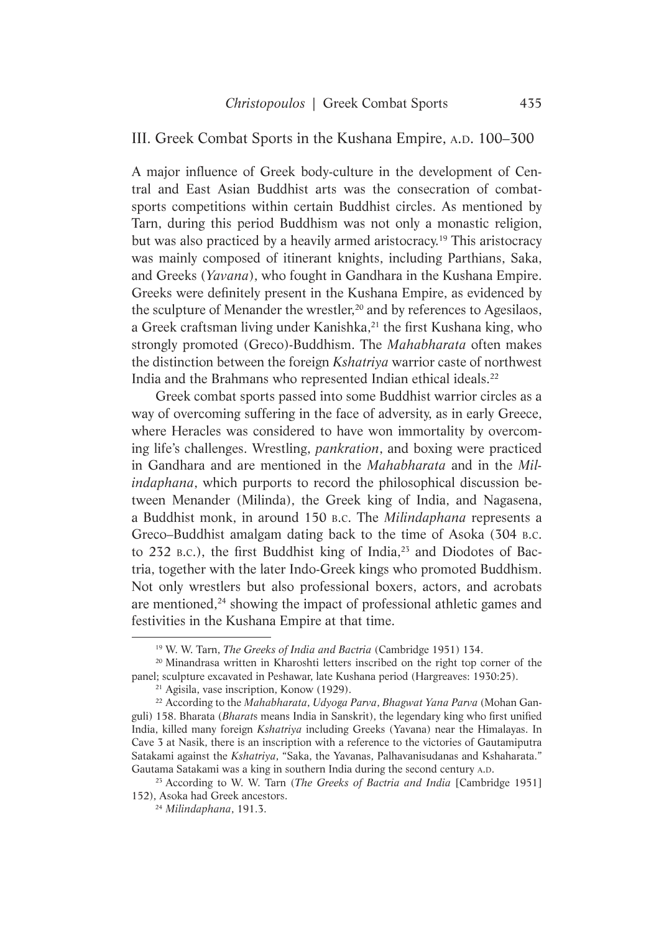## III. Greek Combat Sports in the Kushana Empire, A.D. 100–300

A major influence of Greek body-culture in the development of Central and East Asian Buddhist arts was the consecration of combatsports competitions within certain Buddhist circles. As mentioned by Tarn, during this period Buddhism was not only a monastic religion, but was also practiced by a heavily armed aristocracy.<sup>19</sup> This aristocracy was mainly composed of itinerant knights, including Parthians, Saka, and Greeks (*Yavana*), who fought in Gandhara in the Kushana Empire. Greeks were definitely present in the Kushana Empire, as evidenced by the sculpture of Menander the wrestler,<sup>20</sup> and by references to Agesilaos, a Greek craftsman living under Kanishka,<sup>21</sup> the first Kushana king, who strongly promoted (Greco)-Buddhism. The *Mahabharata* often makes the distinction between the foreign *Kshatriya* warrior caste of northwest India and the Brahmans who represented Indian ethical ideals.<sup>22</sup>

Greek combat sports passed into some Buddhist warrior circles as a way of overcoming suffering in the face of adversity, as in early Greece, where Heracles was considered to have won immortality by overcoming life's challenges. Wrestling, *pankration*, and boxing were practiced in Gandhara and are mentioned in the *Mahabharata* and in the *Milindaphana*, which purports to record the philosophical discussion between Menander (Milinda), the Greek king of India, and Nagasena, a Buddhist monk, in around 150 B.C. The *Milindaphana* represents a Greco–Buddhist amalgam dating back to the time of Asoka (304 B.C. to  $232$  B.C.), the first Buddhist king of India,<sup>23</sup> and Diodotes of Bactria, together with the later Indo-Greek kings who promoted Buddhism. Not only wrestlers but also professional boxers, actors, and acrobats are mentioned,<sup>24</sup> showing the impact of professional athletic games and festivities in the Kushana Empire at that time.

<sup>19</sup>W. W. Tarn, *The Greeks of India and Bactria* (Cambridge 1951) 134.

<sup>&</sup>lt;sup>20</sup> Minandrasa written in Kharoshti letters inscribed on the right top corner of the panel; sculpture excavated in Peshawar, late Kushana period (Hargreaves: 1930:25).

<sup>21</sup>Agisila, vase inscription, Konow (1929).

<sup>22</sup> According to the *Mahabharata*, *Udyoga Parva*, *Bhagwat Yana Parva* (Mohan Ganguli) 158. Bharata (*Bharat*s means India in Sanskrit), the legendary king who first unified India, killed many foreign *Kshatriya* including Greeks (Yavana) near the Himalayas. In Cave 3 at Nasik, there is an inscription with a reference to the victories of Gautamiputra Satakami against the *Kshatriya*, "Saka, the Yavanas, Palhavanisudanas and Kshaharata." Gautama Satakami was a king in southern India during the second century A.D.

<sup>&</sup>lt;sup>23</sup> According to W. W. Tarn (*The Greeks of Bactria and India* [Cambridge 1951] 152), Asoka had Greek ancestors.

<sup>24</sup> *Milindaphana*, 191.3.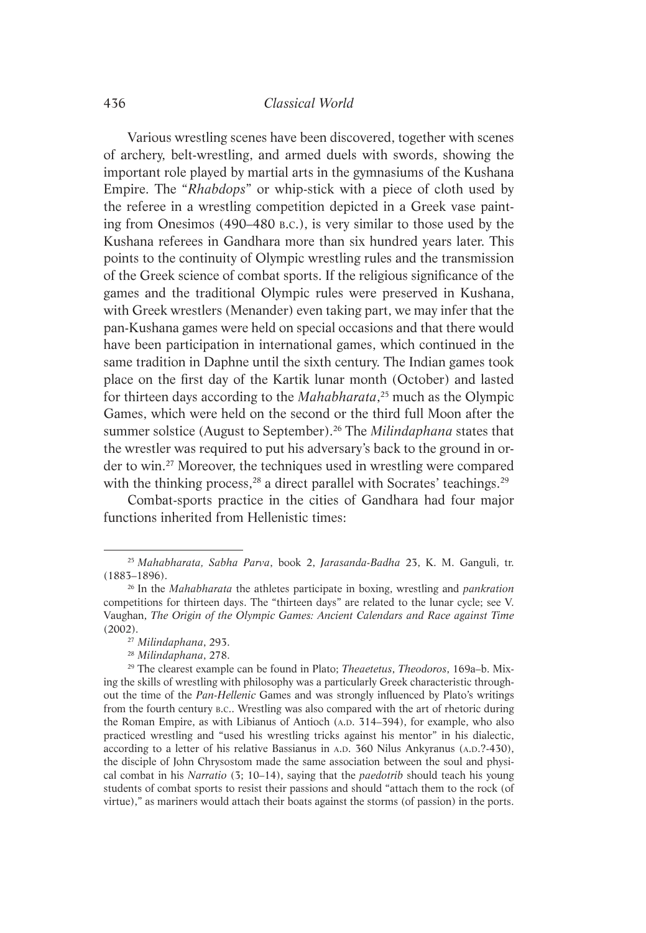#### 436 *Classical World*

Various wrestling scenes have been discovered, together with scenes of archery, belt-wrestling, and armed duels with swords, showing the important role played by martial arts in the gymnasiums of the Kushana Empire. The "*Rhabdops*" or whip-stick with a piece of cloth used by the referee in a wrestling competition depicted in a Greek vase painting from Onesimos (490–480 B.C.), is very similar to those used by the Kushana referees in Gandhara more than six hundred years later. This points to the continuity of Olympic wrestling rules and the transmission of the Greek science of combat sports. If the religious significance of the games and the traditional Olympic rules were preserved in Kushana, with Greek wrestlers (Menander) even taking part, we may infer that the pan-Kushana games were held on special occasions and that there would have been participation in international games, which continued in the same tradition in Daphne until the sixth century. The Indian games took place on the first day of the Kartik lunar month (October) and lasted for thirteen days according to the *Mahabharata*, <sup>25</sup> much as the Olympic Games, which were held on the second or the third full Moon after the summer solstice (August to September).<sup>26</sup> The *Milindaphana* states that the wrestler was required to put his adversary's back to the ground in order to win.<sup>27</sup> Moreover, the techniques used in wrestling were compared with the thinking process,<sup>28</sup> a direct parallel with Socrates' teachings.<sup>29</sup>

Combat-sports practice in the cities of Gandhara had four major functions inherited from Hellenistic times:

<sup>25</sup>*Mahabharata, Sabha Parva*, book 2, *Jarasanda-Badha* 23, K. M. Ganguli, tr. (1883–1896).

<sup>&</sup>lt;sup>26</sup> In the *Mahabharata* the athletes participate in boxing, wrestling and *pankration* competitions for thirteen days. The "thirteen days" are related to the lunar cycle; see V. Vaughan, *The Origin of the Olympic Games: Ancient Calendars and Race against Time* (2002).

<sup>27</sup>*Milindaphana*, 293.

<sup>28</sup>*Milindaphana*, 278.

<sup>29</sup> The clearest example can be found in Plato; *Theaetetus*, *Theodoros*, 169a–b. Mixing the skills of wrestling with philosophy was a particularly Greek characteristic throughout the time of the *Pan-Hellenic* Games and was strongly influenced by Plato's writings from the fourth century B.C.. Wrestling was also compared with the art of rhetoric during the Roman Empire, as with Libianus of Antioch (A.D. 314–394), for example, who also practiced wrestling and "used his wrestling tricks against his mentor" in his dialectic, according to a letter of his relative Bassianus in A.D. 360 Nilus Ankyranus (A.D.?-430), the disciple of John Chrysostom made the same association between the soul and physical combat in his *Narratio* (3; 10–14), saying that the *paedotrib* should teach his young students of combat sports to resist their passions and should "attach them to the rock (of virtue)," as mariners would attach their boats against the storms (of passion) in the ports.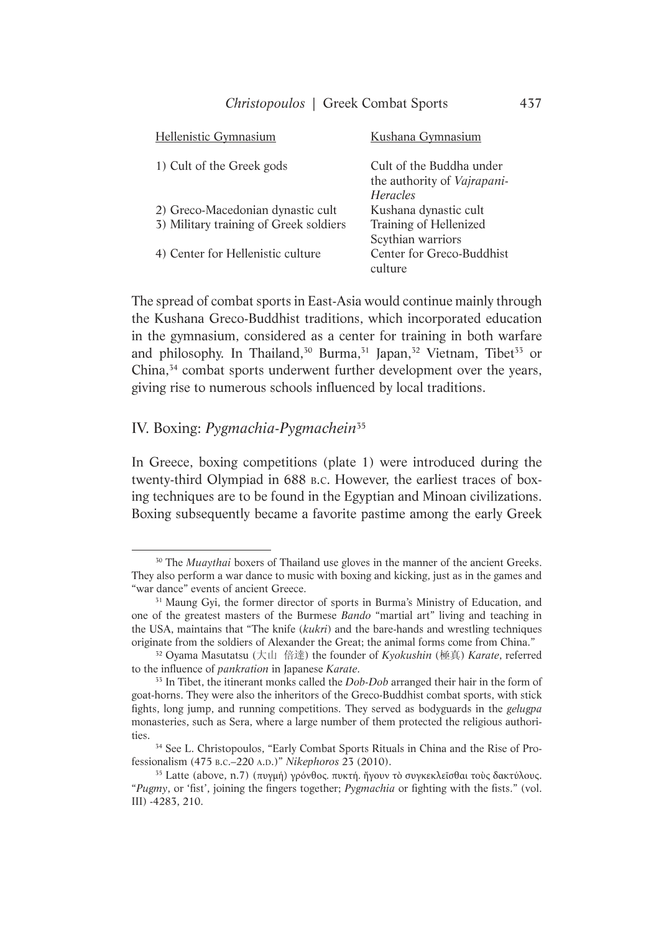| Hellenistic Gymnasium                  | Kushana Gymnasium                                                                  |
|----------------------------------------|------------------------------------------------------------------------------------|
| 1) Cult of the Greek gods              | Cult of the Buddha under<br>the authority of <i>Vajrapani</i> -<br><b>Heracles</b> |
| 2) Greco-Macedonian dynastic cult      | Kushana dynastic cult                                                              |
| 3) Military training of Greek soldiers | Training of Hellenized                                                             |
|                                        | Scythian warriors                                                                  |
| 4) Center for Hellenistic culture      | Center for Greco-Buddhist<br>culture                                               |

The spread of combat sports in East-Asia would continue mainly through the Kushana Greco-Buddhist traditions, which incorporated education in the gymnasium, considered as a center for training in both warfare and philosophy. In Thailand,<sup>30</sup> Burma,<sup>31</sup> Japan,<sup>32</sup> Vietnam, Tibet<sup>33</sup> or China,<sup>34</sup> combat sports underwent further development over the years, giving rise to numerous schools influenced by local traditions.

## IV. Boxing: *Pygmachia-Pygmachein*<sup>35</sup>

In Greece, boxing competitions (plate 1) were introduced during the twenty-third Olympiad in 688 B.C. However, the earliest traces of boxing techniques are to be found in the Egyptian and Minoan civilizations. Boxing subsequently became a favorite pastime among the early Greek

<sup>&</sup>lt;sup>30</sup> The *Muaythai* boxers of Thailand use gloves in the manner of the ancient Greeks. They also perform a war dance to music with boxing and kicking, just as in the games and "war dance" events of ancient Greece.

<sup>&</sup>lt;sup>31</sup> Maung Gyi, the former director of sports in Burma's Ministry of Education, and one of the greatest masters of the Burmese *Bando* "martial art" living and teaching in the USA, maintains that "The knife (*kukri*) and the bare-hands and wrestling techniques originate from the soldiers of Alexander the Great; the animal forms come from China."

<sup>32</sup>Oyama Masutatsu (大山 倍達) the founder of *Kyokushin* (極真) *Karate*, referred to the influence of *pankration* in Japanese *Karate*.

<sup>&</sup>lt;sup>33</sup> In Tibet, the itinerant monks called the *Dob-Dob* arranged their hair in the form of goat-horns. They were also the inheritors of the Greco-Buddhist combat sports, with stick fights, long jump, and running competitions. They served as bodyguards in the *gelugpa* monasteries, such as Sera, where a large number of them protected the religious authorities.

<sup>34</sup> See L. Christopoulos, "Early Combat Sports Rituals in China and the Rise of Professionalism (475 B.C.–220 A.D.)" *Nikephoros* 23 (2010).

<sup>&</sup>lt;sup>35</sup> Latte (above, n.7) (πυγμή) γρόνθος. πυκτή. ἤγουν τὸ συγκεκλεῖσθαι τοὺς δακτύλους. "*Pugmy*, or 'fist', joining the fingers together; *Pygmachia* or fighting with the fists." (vol. III) -4283, 210.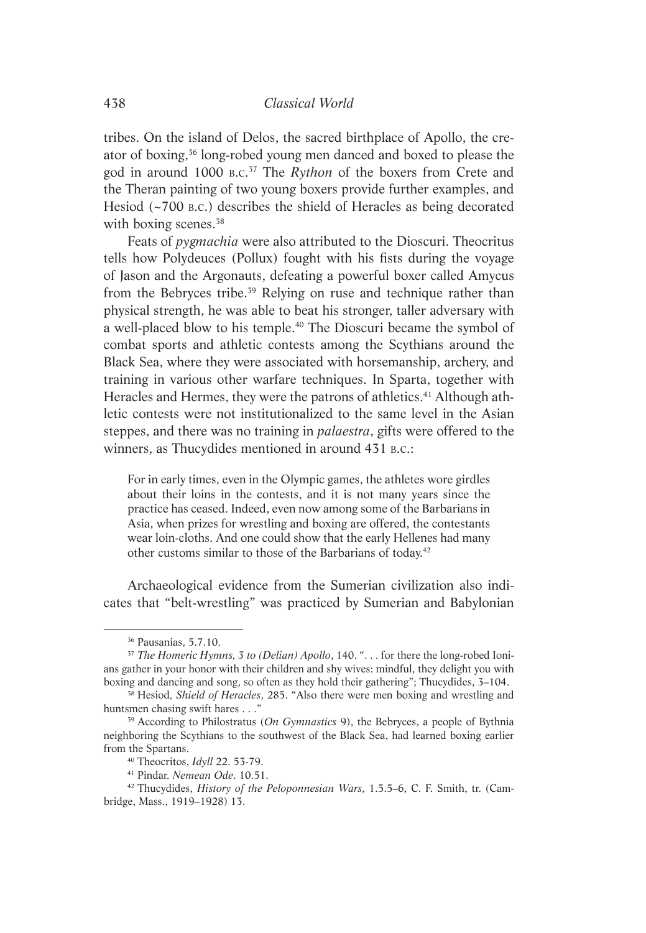tribes. On the island of Delos, the sacred birthplace of Apollo, the creator of boxing,<sup>36</sup> long-robed young men danced and boxed to please the god in around 1000 B.C. <sup>37</sup> The *Rython* of the boxers from Crete and the Theran painting of two young boxers provide further examples, and Hesiod (~700 B.C.) describes the shield of Heracles as being decorated with boxing scenes.<sup>38</sup>

Feats of *pygmachia* were also attributed to the Dioscuri. Theocritus tells how Polydeuces (Pollux) fought with his fists during the voyage of Jason and the Argonauts, defeating a powerful boxer called Amycus from the Bebryces tribe.<sup>39</sup> Relying on ruse and technique rather than physical strength, he was able to beat his stronger, taller adversary with a well-placed blow to his temple.<sup>40</sup> The Dioscuri became the symbol of combat sports and athletic contests among the Scythians around the Black Sea, where they were associated with horsemanship, archery, and training in various other warfare techniques. In Sparta, together with Heracles and Hermes, they were the patrons of athletics.<sup>41</sup> Although athletic contests were not institutionalized to the same level in the Asian steppes, and there was no training in *palaestra*, gifts were offered to the winners, as Thucydides mentioned in around 431 B.C.:

For in early times, even in the Olympic games, the athletes wore girdles about their loins in the contests, and it is not many years since the practice has ceased. Indeed, even now among some of the Barbarians in Asia, when prizes for wrestling and boxing are offered, the contestants wear loin-cloths. And one could show that the early Hellenes had many other customs similar to those of the Barbarians of today.<sup>42</sup>

Archaeological evidence from the Sumerian civilization also indicates that "belt-wrestling" was practiced by Sumerian and Babylonian

<sup>&</sup>lt;sup>36</sup> Pausanias, 5.7.10.

<sup>37</sup> *The Homeric Hymns, 3 to (Delian) Apollo*, 140. ". . . for there the long-robed Ionians gather in your honor with their children and shy wives: mindful, they delight you with boxing and dancing and song, so often as they hold their gathering"; Thucydides, 3–104.

<sup>38</sup>Hesiod*, Shield of Heracles*, 285. "Also there were men boxing and wrestling and huntsmen chasing swift hares . . ."

<sup>39</sup>According to Philostratus (*On Gymnastics* 9), the Bebryces, a people of Bythnia neighboring the Scythians to the southwest of the Black Sea, had learned boxing earlier from the Spartans.

<sup>40</sup>Theocritos, *Idyll* 22. 53-79.

<sup>41</sup>Pindar. *Nemean Ode*. 10.51.

<sup>42</sup>Thucydides, *History of the Peloponnesian Wars*, 1.5.5–6, C. F. Smith, tr. (Cambridge, Mass., 1919–1928) 13.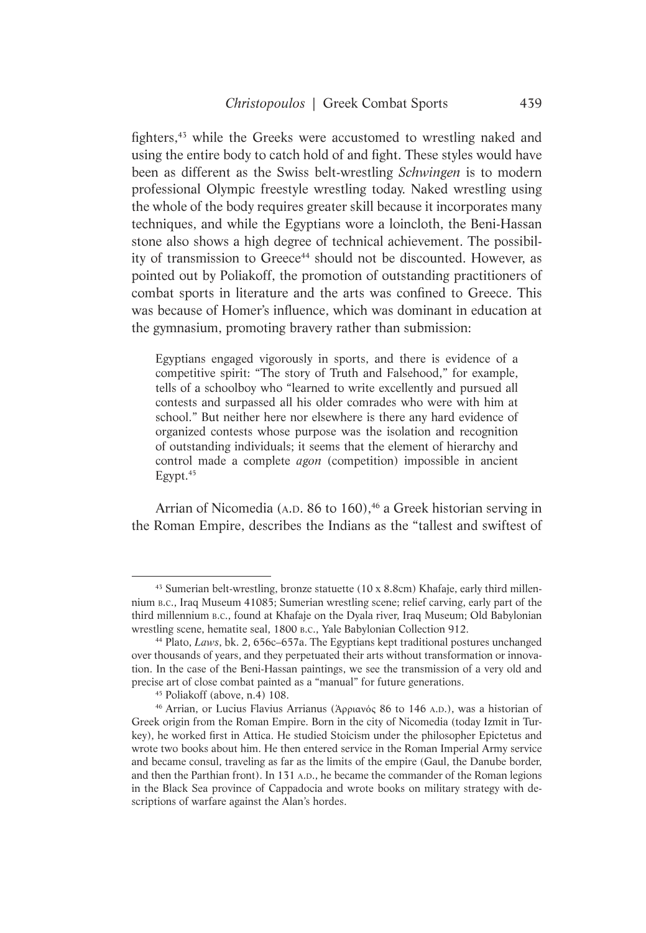fighters,<sup>43</sup> while the Greeks were accustomed to wrestling naked and using the entire body to catch hold of and fight. These styles would have been as different as the Swiss belt-wrestling *Schwingen* is to modern professional Olympic freestyle wrestling today. Naked wrestling using the whole of the body requires greater skill because it incorporates many techniques, and while the Egyptians wore a loincloth, the Beni-Hassan stone also shows a high degree of technical achievement. The possibility of transmission to Greece<sup>44</sup> should not be discounted. However, as pointed out by Poliakoff, the promotion of outstanding practitioners of combat sports in literature and the arts was confined to Greece. This was because of Homer's influence, which was dominant in education at the gymnasium, promoting bravery rather than submission:

Egyptians engaged vigorously in sports, and there is evidence of a competitive spirit: "The story of Truth and Falsehood," for example, tells of a schoolboy who "learned to write excellently and pursued all contests and surpassed all his older comrades who were with him at school." But neither here nor elsewhere is there any hard evidence of organized contests whose purpose was the isolation and recognition of outstanding individuals; it seems that the element of hierarchy and control made a complete *agon* (competition) impossible in ancient  $E$ gypt.  $45$ 

Arrian of Nicomedia (A.D. 86 to 160),<sup>46</sup> a Greek historian serving in the Roman Empire, describes the Indians as the "tallest and swiftest of

<sup>43</sup> Sumerian belt-wrestling, bronze statuette (10 x 8.8cm) Khafaje, early third millennium B.C., Iraq Museum 41085; Sumerian wrestling scene; relief carving, early part of the third millennium B.C., found at Khafaje on the Dyala river, Iraq Museum; Old Babylonian wrestling scene, hematite seal, 1800 B.C., Yale Babylonian Collection 912.

<sup>44</sup>Plato, *Laws*, bk. 2, 656c–657a. The Egyptians kept traditional postures unchanged over thousands of years, and they perpetuated their arts without transformation or innovation. In the case of the Beni-Hassan paintings, we see the transmission of a very old and precise art of close combat painted as a "manual" for future generations.

 $45$  Poliakoff (above, n.4)  $108$ .

<sup>&</sup>lt;sup>46</sup> Arrian, or Lucius Flavius Arrianus (Άρριανός 86 to 146 A.D.), was a historian of Greek origin from the Roman Empire. Born in the city of Nicomedia (today Izmit in Turkey), he worked first in Attica. He studied Stoicism under the philosopher Epictetus and wrote two books about him. He then entered service in the Roman Imperial Army service and became consul, traveling as far as the limits of the empire (Gaul, the Danube border, and then the Parthian front). In 131 A.D., he became the commander of the Roman legions in the Black Sea province of Cappadocia and wrote books on military strategy with descriptions of warfare against the Alan's hordes.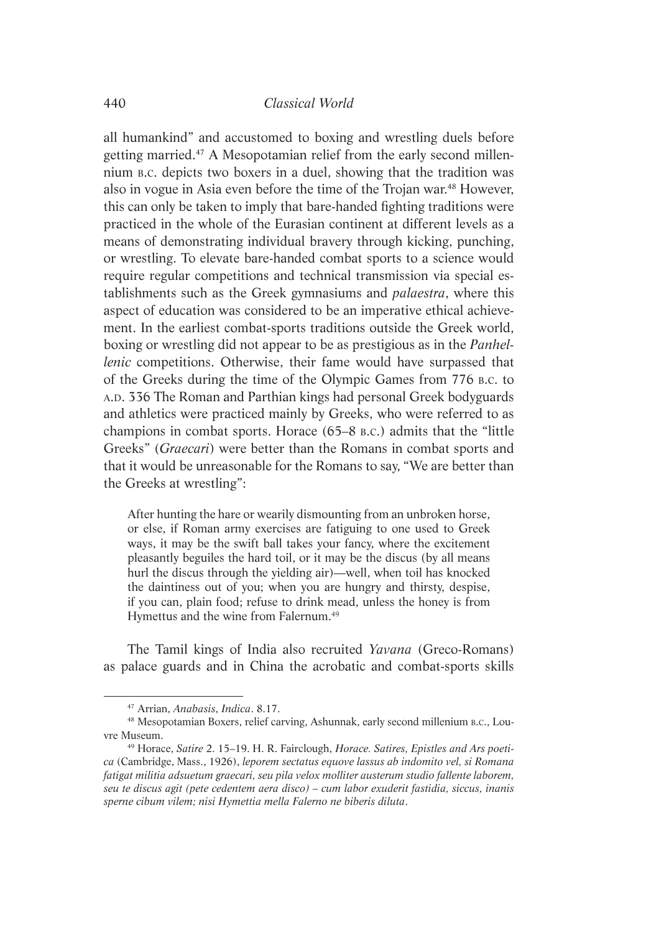#### 440 *Classical World*

all humankind" and accustomed to boxing and wrestling duels before getting married.47 A Mesopotamian relief from the early second millennium B.C. depicts two boxers in a duel, showing that the tradition was also in vogue in Asia even before the time of the Trojan war.<sup>48</sup> However, this can only be taken to imply that bare-handed fighting traditions were practiced in the whole of the Eurasian continent at different levels as a means of demonstrating individual bravery through kicking, punching, or wrestling. To elevate bare-handed combat sports to a science would require regular competitions and technical transmission via special establishments such as the Greek gymnasiums and *palaestra*, where this aspect of education was considered to be an imperative ethical achievement. In the earliest combat-sports traditions outside the Greek world, boxing or wrestling did not appear to be as prestigious as in the *Panhellenic* competitions. Otherwise, their fame would have surpassed that of the Greeks during the time of the Olympic Games from 776 B.C. to <sup>A</sup>.D. 336 The Roman and Parthian kings had personal Greek bodyguards and athletics were practiced mainly by Greeks, who were referred to as champions in combat sports. Horace (65–8 B.C.) admits that the "little Greeks" (*Graecari*) were better than the Romans in combat sports and that it would be unreasonable for the Romans to say, "We are better than the Greeks at wrestling":

After hunting the hare or wearily dismounting from an unbroken horse, or else, if Roman army exercises are fatiguing to one used to Greek ways, it may be the swift ball takes your fancy, where the excitement pleasantly beguiles the hard toil, or it may be the discus (by all means hurl the discus through the yielding air)—well, when toil has knocked the daintiness out of you; when you are hungry and thirsty, despise, if you can, plain food; refuse to drink mead, unless the honey is from Hymettus and the wine from Falernum.<sup>49</sup>

The Tamil kings of India also recruited *Yavana* (Greco-Romans) as palace guards and in China the acrobatic and combat-sports skills

<sup>47</sup>Arrian, *Anabasis*, *Indica*. 8.17.

<sup>48</sup>Mesopotamian Boxers, relief carving, Ashunnak, early second millenium B.C., Louvre Museum.

<sup>49</sup>Horace, *Satire* 2. 15–19. H. R. Fairclough, *Horace. Satires, Epistles and Ars poetica* (Cambridge, Mass., 1926), *leporem sectatus equove lassus ab indomito vel, si Romana fatigat militia adsuetum graecari, seu pila velox molliter austerum studio fallente laborem, seu te discus agit (pete cedentem aera disco) – cum labor exuderit fastidia, siccus, inanis sperne cibum vilem; nisi Hymettia mella Falerno ne biberis diluta*.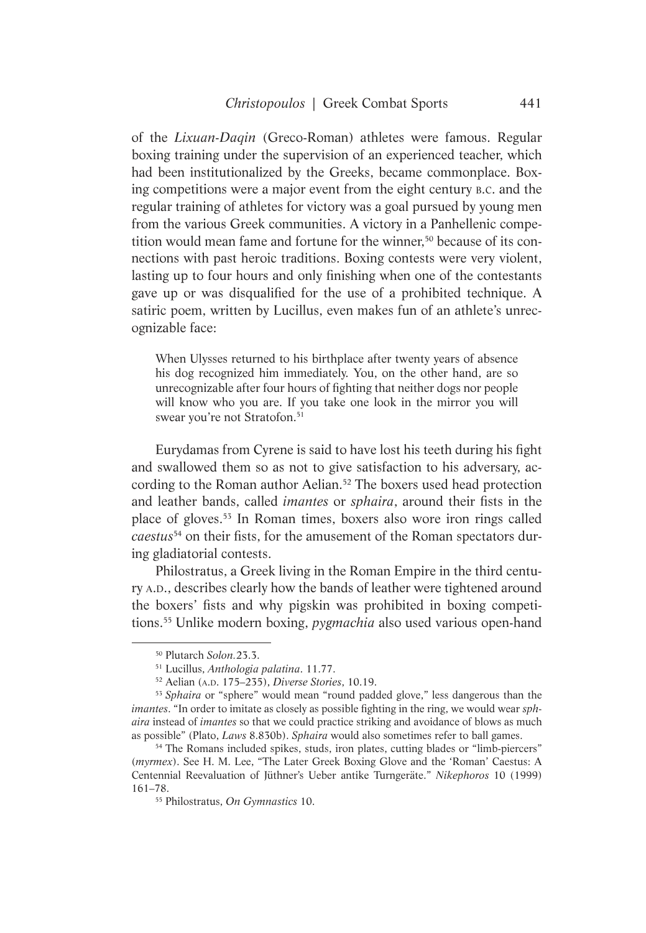of the *Lixuan-Daqin* (Greco-Roman) athletes were famous. Regular boxing training under the supervision of an experienced teacher, which had been institutionalized by the Greeks, became commonplace. Boxing competitions were a major event from the eight century B.C. and the regular training of athletes for victory was a goal pursued by young men from the various Greek communities. A victory in a Panhellenic competition would mean fame and fortune for the winner,<sup>50</sup> because of its connections with past heroic traditions. Boxing contests were very violent, lasting up to four hours and only finishing when one of the contestants gave up or was disqualified for the use of a prohibited technique. A satiric poem, written by Lucillus, even makes fun of an athlete's unrecognizable face:

When Ulysses returned to his birthplace after twenty years of absence his dog recognized him immediately. You, on the other hand, are so unrecognizable after four hours of fighting that neither dogs nor people will know who you are. If you take one look in the mirror you will swear you're not Stratofon.<sup>51</sup>

Eurydamas from Cyrene is said to have lost his teeth during his fight and swallowed them so as not to give satisfaction to his adversary, according to the Roman author Aelian.<sup>52</sup> The boxers used head protection and leather bands, called *imantes* or *sphaira*, around their fists in the place of gloves.<sup>53</sup> In Roman times, boxers also wore iron rings called *caestus*54 on their fists, for the amusement of the Roman spectators during gladiatorial contests.

Philostratus, a Greek living in the Roman Empire in the third century A.D., describes clearly how the bands of leather were tightened around the boxers' fists and why pigskin was prohibited in boxing competitions.<sup>55</sup> Unlike modern boxing, *pygmachia* also used various open-hand

<sup>50</sup>Plutarch *Solon.*23.3.

<sup>51</sup>Lucillus, *Anthologia palatina*. 11.77.

<sup>52</sup>Aelian (A.D. 175–235), *Diverse Stories*, 10.19.

<sup>&</sup>lt;sup>53</sup> Sphaira or "sphere" would mean "round padded glove," less dangerous than the *imantes*. "In order to imitate as closely as possible fighting in the ring, we would wear *sphaira* instead of *imantes* so that we could practice striking and avoidance of blows as much as possible" (Plato, *Laws* 8.830b). *Sphaira* would also sometimes refer to ball games.

<sup>54</sup>The Romans included spikes, studs, iron plates, cutting blades or "limb-piercers" (*myrmex*). See H. M. Lee, "The Later Greek Boxing Glove and the 'Roman' Caestus: A Centennial Reevaluation of Jüthner's Ueber antike Turngeräte." *Nikephoros* 10 (1999) 161–78.

<sup>55</sup> Philostratus, *On Gymnastics* 10.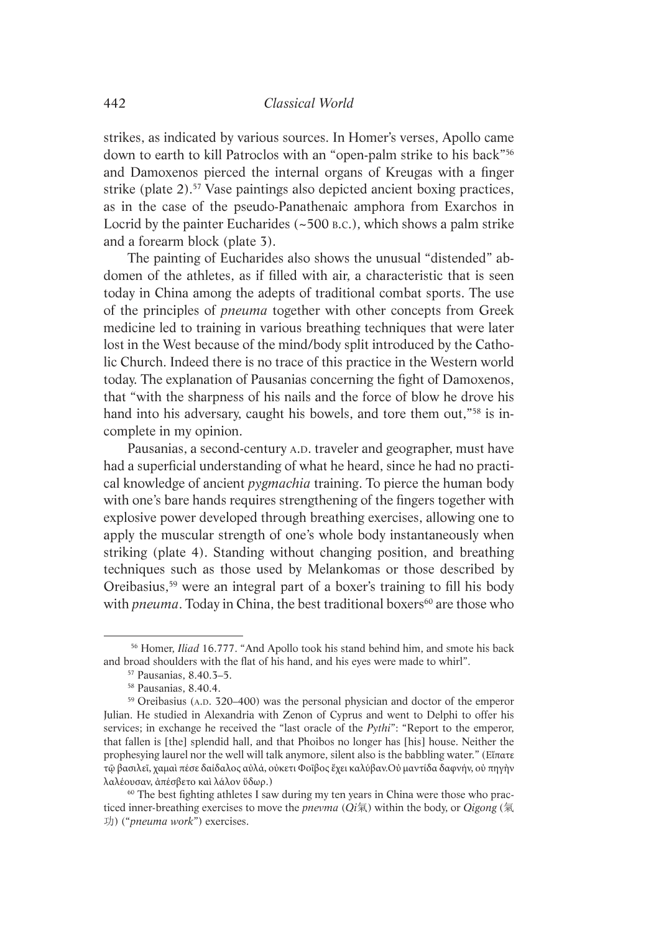strikes, as indicated by various sources. In Homer's verses, Apollo came down to earth to kill Patroclos with an "open-palm strike to his back"<sup>56</sup> and Damoxenos pierced the internal organs of Kreugas with a finger strike (plate 2).<sup>57</sup> Vase paintings also depicted ancient boxing practices, as in the case of the pseudo-Panathenaic amphora from Exarchos in Locrid by the painter Eucharides (~500 B.C.), which shows a palm strike and a forearm block (plate 3).

The painting of Eucharides also shows the unusual "distended" abdomen of the athletes, as if filled with air, a characteristic that is seen today in China among the adepts of traditional combat sports. The use of the principles of *pneuma* together with other concepts from Greek medicine led to training in various breathing techniques that were later lost in the West because of the mind/body split introduced by the Catholic Church. Indeed there is no trace of this practice in the Western world today. The explanation of Pausanias concerning the fight of Damoxenos, that "with the sharpness of his nails and the force of blow he drove his hand into his adversary, caught his bowels, and tore them out,"58 is incomplete in my opinion.

Pausanias, a second-century A.D. traveler and geographer, must have had a superficial understanding of what he heard, since he had no practical knowledge of ancient *pygmachia* training. To pierce the human body with one's bare hands requires strengthening of the fingers together with explosive power developed through breathing exercises, allowing one to apply the muscular strength of one's whole body instantaneously when striking (plate 4). Standing without changing position, and breathing techniques such as those used by Melankomas or those described by Oreibasius,<sup>59</sup> were an integral part of a boxer's training to fill his body with *pneuma*. Today in China, the best traditional boxers<sup>60</sup> are those who

<sup>&</sup>lt;sup>56</sup> Homer, *Iliad* 16.777. "And Apollo took his stand behind him, and smote his back and broad shoulders with the flat of his hand, and his eyes were made to whirl".

<sup>57</sup>Pausanias, 8.40.3–5.

<sup>&</sup>lt;sup>58</sup> Pausanias, 8.40.4.

<sup>&</sup>lt;sup>59</sup> Oreibasius (A.D. 320–400) was the personal physician and doctor of the emperor Julian. He studied in Alexandria with Zenon of Cyprus and went to Delphi to offer his services; in exchange he received the "last oracle of the *Pythi*": "Report to the emperor, that fallen is [the] splendid hall, and that Phoibos no longer has [his] house. Neither the prophesying laurel nor the well will talk anymore, silent also is the babbling water." (Εἴπατε τῷ βασιλεῖ, χαμαὶ πέσε δαίδαλος αὐλά, οὐκετι Φοῖβος ἔχει καλύβαν.Οὐ μαντίδα δαφνήν, οὐ πηγὴν λαλέουσαν, ἀπέσβετο καὶ λάλον ὕδωρ.)

<sup>&</sup>lt;sup>60</sup> The best fighting athletes I saw during my ten years in China were those who practiced inner-breathing exercises to move the *pnevma* (*Qi*氣) within the body, or *Qigong* (氣 功) ("*pneuma work*") exercises.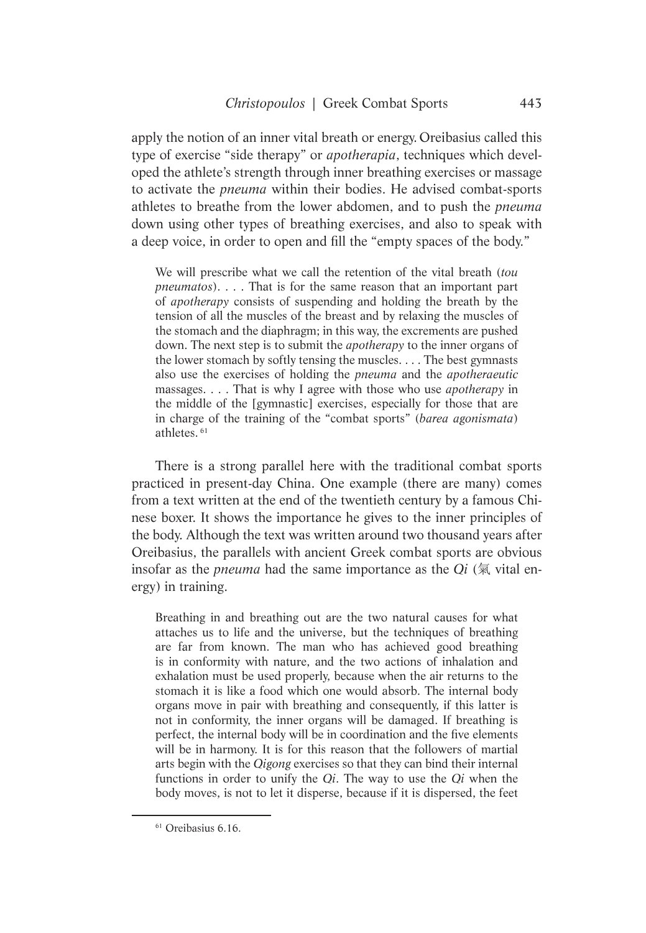apply the notion of an inner vital breath or energy. Oreibasius called this type of exercise "side therapy" or *apotherapia*, techniques which developed the athlete's strength through inner breathing exercises or massage to activate the *pneuma* within their bodies. He advised combat-sports athletes to breathe from the lower abdomen, and to push the *pneuma* down using other types of breathing exercises, and also to speak with a deep voice, in order to open and fill the "empty spaces of the body."

We will prescribe what we call the retention of the vital breath (*tou pneumatos*). . . . That is for the same reason that an important part of *apotherapy* consists of suspending and holding the breath by the tension of all the muscles of the breast and by relaxing the muscles of the stomach and the diaphragm; in this way, the excrements are pushed down. The next step is to submit the *apotherapy* to the inner organs of the lower stomach by softly tensing the muscles. . . . The best gymnasts also use the exercises of holding the *pneuma* and the *apotheraeutic* massages. . . . That is why I agree with those who use *apotherapy* in the middle of the [gymnastic] exercises, especially for those that are in charge of the training of the "combat sports" (*barea agonismata*) athletes.<sup>61</sup>

There is a strong parallel here with the traditional combat sports practiced in present-day China. One example (there are many) comes from a text written at the end of the twentieth century by a famous Chinese boxer. It shows the importance he gives to the inner principles of the body. Although the text was written around two thousand years after Oreibasius, the parallels with ancient Greek combat sports are obvious insofar as the *pneuma* had the same importance as the  $Q_i$  ( $\overline{\mathcal{R}}$  vital energy) in training.

Breathing in and breathing out are the two natural causes for what attaches us to life and the universe, but the techniques of breathing are far from known. The man who has achieved good breathing is in conformity with nature, and the two actions of inhalation and exhalation must be used properly, because when the air returns to the stomach it is like a food which one would absorb. The internal body organs move in pair with breathing and consequently, if this latter is not in conformity, the inner organs will be damaged. If breathing is perfect, the internal body will be in coordination and the five elements will be in harmony. It is for this reason that the followers of martial arts begin with the *Qigong* exercises so that they can bind their internal functions in order to unify the *Qi*. The way to use the *Qi* when the body moves, is not to let it disperse, because if it is dispersed, the feet

<sup>61</sup> Oreibasius 6.16.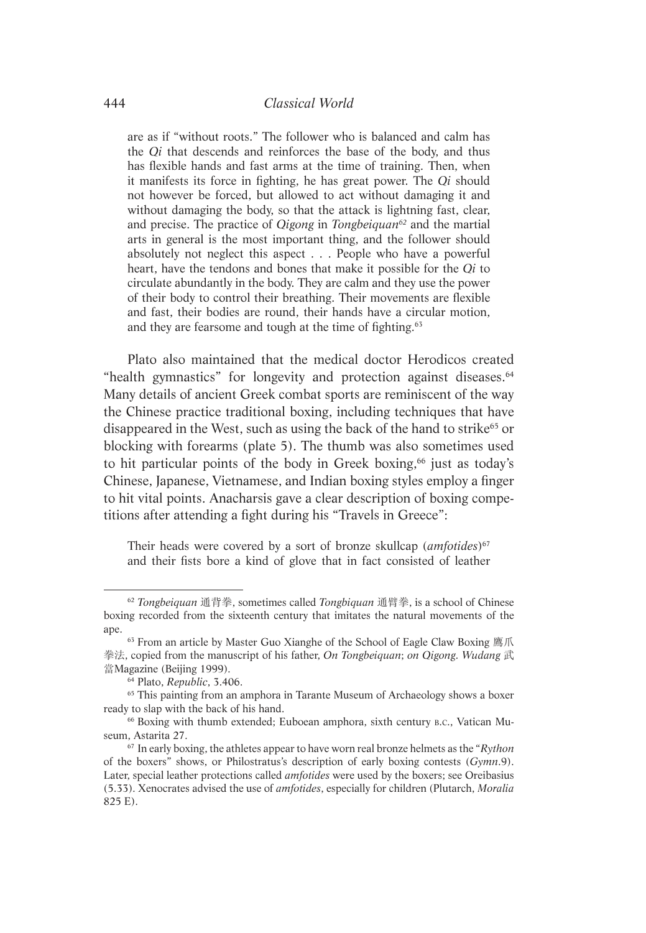are as if "without roots." The follower who is balanced and calm has the *Qi* that descends and reinforces the base of the body, and thus has flexible hands and fast arms at the time of training. Then, when it manifests its force in fighting, he has great power. The *Qi* should not however be forced, but allowed to act without damaging it and without damaging the body, so that the attack is lightning fast, clear, and precise. The practice of *Qigong* in *Tongbeiquan<sup>62</sup>* and the martial arts in general is the most important thing, and the follower should absolutely not neglect this aspect . . . People who have a powerful heart, have the tendons and bones that make it possible for the *Qi* to circulate abundantly in the body. They are calm and they use the power of their body to control their breathing. Their movements are flexible and fast, their bodies are round, their hands have a circular motion, and they are fearsome and tough at the time of fighting.<sup>63</sup>

Plato also maintained that the medical doctor Herodicos created "health gymnastics" for longevity and protection against diseases.<sup>64</sup> Many details of ancient Greek combat sports are reminiscent of the way the Chinese practice traditional boxing, including techniques that have disappeared in the West, such as using the back of the hand to strike<sup>65</sup> or blocking with forearms (plate 5). The thumb was also sometimes used to hit particular points of the body in Greek boxing,<sup>66</sup> just as today's Chinese, Japanese, Vietnamese, and Indian boxing styles employ a finger to hit vital points. Anacharsis gave a clear description of boxing competitions after attending a fight during his "Travels in Greece":

Their heads were covered by a sort of bronze skullcap (*amfotides*) 67 and their fists bore a kind of glove that in fact consisted of leather

<sup>62</sup>*Tongbeiquan* 通背拳, sometimes called *Tongbiquan* 通臂拳, is a school of Chinese boxing recorded from the sixteenth century that imitates the natural movements of the ape.

<sup>&</sup>lt;sup>63</sup> From an article by Master Guo Xianghe of the School of Eagle Claw Boxing 鷹爪 拳法, copied from the manuscript of his father, *On Tongbeiquan*; *on Qigong*. *Wudang* 武 當Magazine (Beijing 1999).

<sup>64</sup>Plato, *Republic*, 3.406.

<sup>&</sup>lt;sup>65</sup> This painting from an amphora in Tarante Museum of Archaeology shows a boxer ready to slap with the back of his hand.

<sup>&</sup>lt;sup>66</sup> Boxing with thumb extended; Euboean amphora, sixth century B.C., Vatican Museum, Astarita 27.

<sup>67</sup>In early boxing, the athletes appear to have worn real bronze helmets as the "*Rython*  of the boxers" shows, or Philostratus's description of early boxing contests (*Gymn*.9). Later, special leather protections called *amfotides* were used by the boxers; see Oreibasius (5.33). Xenocrates advised the use of *amfotides*, especially for children (Plutarch, *Moralia* 825 E).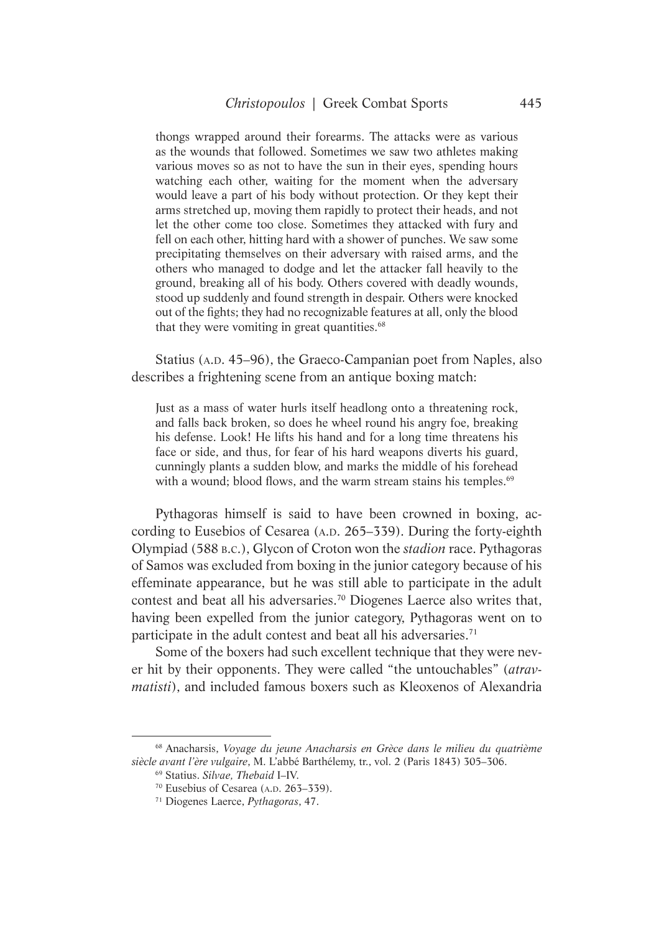thongs wrapped around their forearms. The attacks were as various as the wounds that followed. Sometimes we saw two athletes making various moves so as not to have the sun in their eyes, spending hours watching each other, waiting for the moment when the adversary would leave a part of his body without protection. Or they kept their arms stretched up, moving them rapidly to protect their heads, and not let the other come too close. Sometimes they attacked with fury and fell on each other, hitting hard with a shower of punches. We saw some precipitating themselves on their adversary with raised arms, and the others who managed to dodge and let the attacker fall heavily to the ground, breaking all of his body. Others covered with deadly wounds, stood up suddenly and found strength in despair. Others were knocked out of the fights; they had no recognizable features at all, only the blood that they were vomiting in great quantities.<sup>68</sup>

Statius (A.D. 45–96), the Graeco-Campanian poet from Naples, also describes a frightening scene from an antique boxing match:

Just as a mass of water hurls itself headlong onto a threatening rock, and falls back broken, so does he wheel round his angry foe, breaking his defense. Look! He lifts his hand and for a long time threatens his face or side, and thus, for fear of his hard weapons diverts his guard, cunningly plants a sudden blow, and marks the middle of his forehead with a wound; blood flows, and the warm stream stains his temples.<sup>69</sup>

Pythagoras himself is said to have been crowned in boxing, according to Eusebios of Cesarea (A.D. 265–339). During the forty-eighth Olympiad (588 B.C.), Glycon of Croton won the *stadion* race. Pythagoras of Samos was excluded from boxing in the junior category because of his effeminate appearance, but he was still able to participate in the adult contest and beat all his adversaries.<sup>70</sup> Diogenes Laerce also writes that, having been expelled from the junior category, Pythagoras went on to participate in the adult contest and beat all his adversaries.<sup>71</sup>

Some of the boxers had such excellent technique that they were never hit by their opponents. They were called "the untouchables" (*atravmatisti*), and included famous boxers such as Kleoxenos of Alexandria

<sup>&</sup>lt;sup>68</sup> Anacharsis, *Voyage du jeune Anacharsis en Grèce dans le milieu du quatrième siècle avant l'ère vulgaire*, M. L'abbé Barthélemy, tr., vol. 2 (Paris 1843) 305–306.

<sup>69</sup>Statius. *Silvae, Thebaid* I–IV.

<sup>70</sup>Eusebius of Cesarea (A.D. 263–339).

<sup>71</sup> Diogenes Laerce, *Pythagoras*, 47.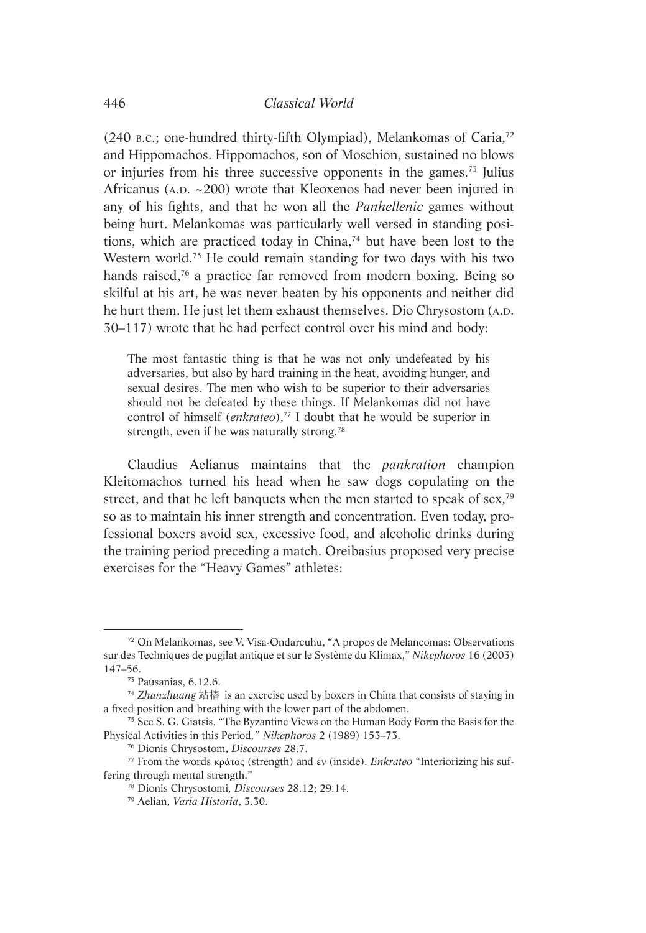(240 B.C.; one-hundred thirty-fifth Olympiad), Melankomas of Caria,<sup>72</sup> and Hippomachos. Hippomachos, son of Moschion, sustained no blows or injuries from his three successive opponents in the games.<sup>73</sup> Julius Africanus (A.D. ~200) wrote that Kleoxenos had never been injured in any of his fights, and that he won all the *Panhellenic* games without being hurt. Melankomas was particularly well versed in standing positions, which are practiced today in China,<sup>74</sup> but have been lost to the Western world.<sup>75</sup> He could remain standing for two days with his two hands raised,<sup>76</sup> a practice far removed from modern boxing. Being so skilful at his art, he was never beaten by his opponents and neither did he hurt them. He just let them exhaust themselves. Dio Chrysostom (A.D. 30–117) wrote that he had perfect control over his mind and body:

The most fantastic thing is that he was not only undefeated by his adversaries, but also by hard training in the heat, avoiding hunger, and sexual desires. The men who wish to be superior to their adversaries should not be defeated by these things. If Melankomas did not have control of himself (*enkrateo*),<sup>77</sup> I doubt that he would be superior in strength, even if he was naturally strong.<sup>78</sup>

Claudius Aelianus maintains that the *pankration* champion Kleitomachos turned his head when he saw dogs copulating on the street, and that he left banquets when the men started to speak of sex,<sup>79</sup> so as to maintain his inner strength and concentration. Even today, professional boxers avoid sex, excessive food, and alcoholic drinks during the training period preceding a match. Oreibasius proposed very precise exercises for the "Heavy Games" athletes:

<sup>72</sup> On Melankomas, see V. Visa-Ondarcuhu, "A propos de Melancomas: Observations sur des Techniques de pugilat antique et sur le Système du Klimax," *Nikephoros* 16 (2003) 147–56.

<sup>&</sup>lt;sup>73</sup> Pausanias, 6.12.6.

<sup>74</sup>*Zhanzhuang* 站樁 is an exercise used by boxers in China that consists of staying in a fixed position and breathing with the lower part of the abdomen.

<sup>&</sup>lt;sup>75</sup> See S. G. Giatsis, "The Byzantine Views on the Human Body Form the Basis for the Physical Activities in this Period*," Nikephoros* 2 (1989) 153–73.

<sup>76</sup>Dionis Chrysostom, *Discourses* 28.7.

<sup>77</sup> From the words κράτος (strength) and εν (inside). *Enkrateo* "Interiorizing his suffering through mental strength."

<sup>78</sup>Dionis Chrysostomi*, Discourses* 28.12; 29.14.

<sup>79</sup> Aelian, *Varia Historia*, 3.30.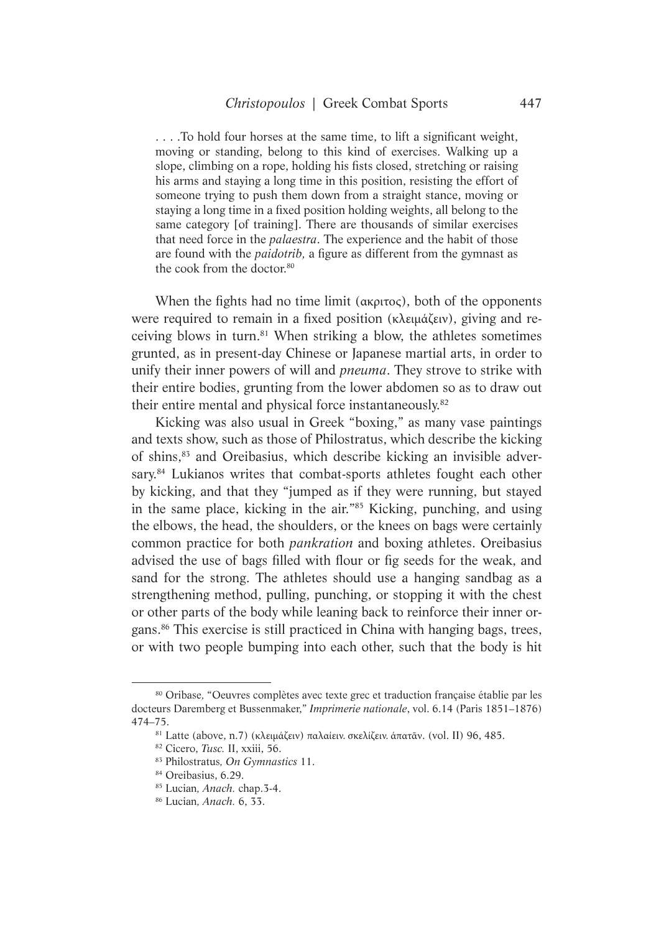. . . .To hold four horses at the same time, to lift a significant weight, moving or standing, belong to this kind of exercises. Walking up a slope, climbing on a rope, holding his fists closed, stretching or raising his arms and staying a long time in this position, resisting the effort of someone trying to push them down from a straight stance, moving or staying a long time in a fixed position holding weights, all belong to the same category [of training]. There are thousands of similar exercises that need force in the *palaestra*. The experience and the habit of those are found with the *paidotrib,* a figure as different from the gymnast as the cook from the doctor.<sup>80</sup>

When the fights had no time limit (ακριτος), both of the opponents were required to remain in a fixed position (κλειμάζειν), giving and receiving blows in turn.<sup>81</sup> When striking a blow, the athletes sometimes grunted, as in present-day Chinese or Japanese martial arts, in order to unify their inner powers of will and *pneuma*. They strove to strike with their entire bodies, grunting from the lower abdomen so as to draw out their entire mental and physical force instantaneously.<sup>82</sup>

Kicking was also usual in Greek "boxing," as many vase paintings and texts show, such as those of Philostratus, which describe the kicking of shins,83 and Oreibasius, which describe kicking an invisible adversary.<sup>84</sup> Lukianos writes that combat-sports athletes fought each other by kicking, and that they "jumped as if they were running, but stayed in the same place, kicking in the air."<sup>85</sup> Kicking, punching, and using the elbows, the head, the shoulders, or the knees on bags were certainly common practice for both *pankration* and boxing athletes. Oreibasius advised the use of bags filled with flour or fig seeds for the weak, and sand for the strong. The athletes should use a hanging sandbag as a strengthening method, pulling, punching, or stopping it with the chest or other parts of the body while leaning back to reinforce their inner organs.<sup>86</sup> This exercise is still practiced in China with hanging bags, trees, or with two people bumping into each other, such that the body is hit

<sup>80</sup>Oribase*,* "Oeuvres complètes avec texte grec et traduction française établie par les docteurs Daremberg et Bussenmaker," *Imprimerie nationale*, vol. 6.14 (Paris 1851–1876) 474–75.

<sup>81</sup>Latte (above, n.7) (κλειμάζειν) παλαίειν. σκελίζειν. άπατᾶν. (vol. II) 96, 485.

<sup>82</sup>Cicero, *Tusc.* II, xxiii, 56.

<sup>83</sup>Philostratus*, On Gymnastics* 11.

<sup>&</sup>lt;sup>84</sup> Oreibasius, 6.29.

<sup>85</sup>Lucian*, Anach.* chap.3-4.

<sup>86</sup> Lucian*, Anach.* 6, 33.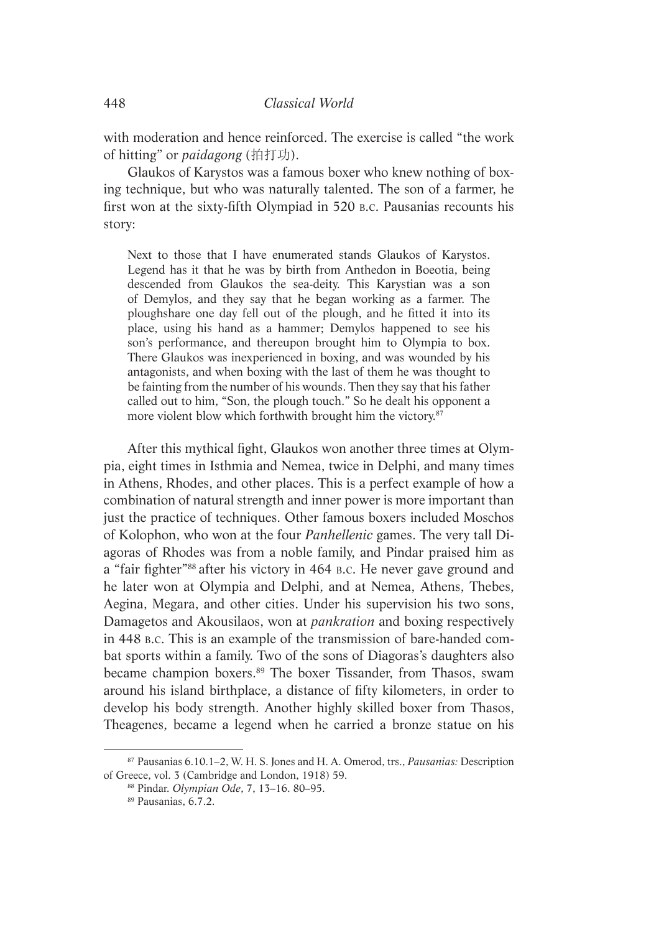with moderation and hence reinforced. The exercise is called "the work of hitting" or *paidagong* (拍打功).

Glaukos of Karystos was a famous boxer who knew nothing of boxing technique, but who was naturally talented. The son of a farmer, he first won at the sixty-fifth Olympiad in 520 B.C. Pausanias recounts his story:

Next to those that I have enumerated stands Glaukos of Karystos. Legend has it that he was by birth from Anthedon in Boeotia, being descended from Glaukos the sea-deity. This Karystian was a son of Demylos, and they say that he began working as a farmer. The ploughshare one day fell out of the plough, and he fitted it into its place, using his hand as a hammer; Demylos happened to see his son's performance, and thereupon brought him to Olympia to box. There Glaukos was inexperienced in boxing, and was wounded by his antagonists, and when boxing with the last of them he was thought to be fainting from the number of his wounds. Then they say that his father called out to him, "Son, the plough touch." So he dealt his opponent a more violent blow which forthwith brought him the victory.<sup>87</sup>

After this mythical fight, Glaukos won another three times at Olympia, eight times in Isthmia and Nemea, twice in Delphi, and many times in Athens, Rhodes, and other places. This is a perfect example of how a combination of natural strength and inner power is more important than just the practice of techniques. Other famous boxers included Moschos of Kolophon, who won at the four *Panhellenic* games. The very tall Diagoras of Rhodes was from a noble family, and Pindar praised him as a "fair fighter"<sup>88</sup> after his victory in 464 B.C. He never gave ground and he later won at Olympia and Delphi, and at Nemea, Athens, Thebes, Aegina, Megara, and other cities. Under his supervision his two sons, Damagetos and Akousilaos, won at *pankration* and boxing respectively in 448 B.C. This is an example of the transmission of bare-handed combat sports within a family. Two of the sons of Diagoras's daughters also became champion boxers.<sup>89</sup> The boxer Tissander, from Thasos, swam around his island birthplace, a distance of fifty kilometers, in order to develop his body strength. Another highly skilled boxer from Thasos, Theagenes, became a legend when he carried a bronze statue on his

<sup>87</sup>Pausanias 6.10.1–2, W. H. S. Jones and H. A. Omerod, trs., *Pausanias:* Description of Greece, vol. 3 (Cambridge and London, 1918) 59.

<sup>88</sup>Pindar. *Olympian Ode*, 7, 13–16. 80–95.

<sup>89</sup> Pausanias, 6.7.2.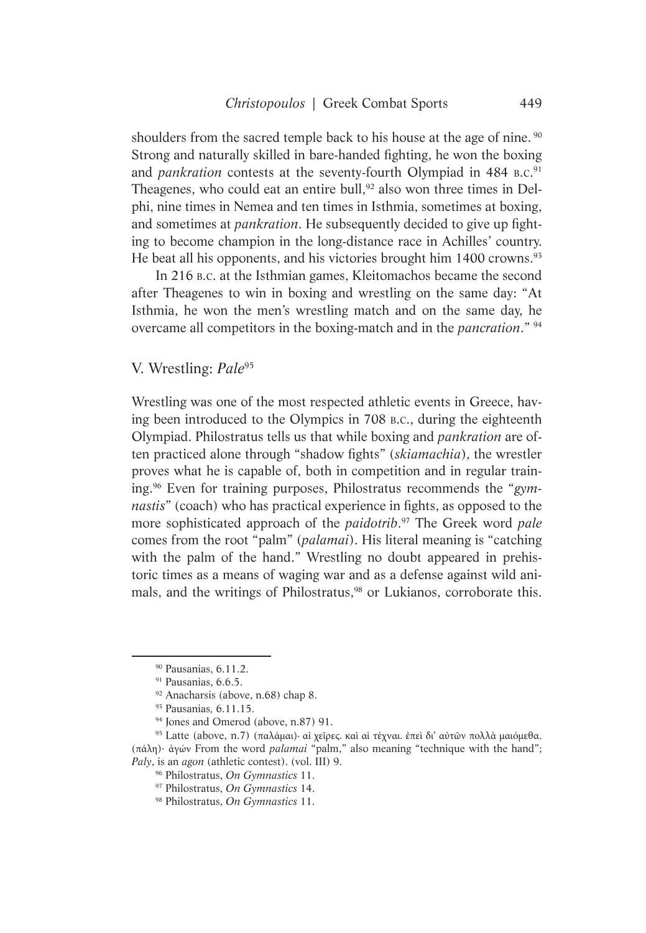shoulders from the sacred temple back to his house at the age of nine.<sup>90</sup> Strong and naturally skilled in bare-handed fighting, he won the boxing and *pankration* contests at the seventy-fourth Olympiad in 484 B.C.<sup>91</sup> Theagenes, who could eat an entire bull,<sup>92</sup> also won three times in Delphi, nine times in Nemea and ten times in Isthmia, sometimes at boxing, and sometimes at *pankration*. He subsequently decided to give up fighting to become champion in the long-distance race in Achilles' country. He beat all his opponents, and his victories brought him 1400 crowns.<sup>93</sup>

In 216 B.C. at the Isthmian games, Kleitomachos became the second after Theagenes to win in boxing and wrestling on the same day: "At Isthmia, he won the men's wrestling match and on the same day, he overcame all competitors in the boxing-match and in the *pancration*." <sup>94</sup>

V. Wrestling: *Pale*<sup>95</sup>

Wrestling was one of the most respected athletic events in Greece, having been introduced to the Olympics in 708 B.C., during the eighteenth Olympiad. Philostratus tells us that while boxing and *pankration* are often practiced alone through "shadow fights" (*skiamachia*), the wrestler proves what he is capable of, both in competition and in regular training.96 Even for training purposes, Philostratus recommends the "*gymnastis*" (coach) who has practical experience in fights, as opposed to the more sophisticated approach of the *paidotrib*. <sup>97</sup> The Greek word *pale* comes from the root "palm" (*palamai*). His literal meaning is "catching with the palm of the hand." Wrestling no doubt appeared in prehistoric times as a means of waging war and as a defense against wild animals, and the writings of Philostratus,<sup>98</sup> or Lukianos, corroborate this.

<sup>97</sup>Philostratus, *On Gymnastics* 14.

<sup>90</sup> Pausanias, 6.11.2.

 $91$  Pausanias, 6.6.5.

<sup>92</sup>Anacharsis (above, n.68) chap 8.

<sup>93</sup>Pausanias*,* 6.11.15.

<sup>&</sup>lt;sup>94</sup> Jones and Omerod (above, n.87) 91.

<sup>95</sup>Latte (above, n.7) (παλάμαι)· αἱ χεῖρες. καὶ αἱ τέχναι. ἐπεὶ δι' αὐτῶν πολλὰ μαιόμεθα.

<sup>(</sup>πάλη)· ἀγών From the word *palamai* "palm," also meaning "technique with the hand"; *Paly*, is an *agon* (athletic contest). (vol. III) 9.

<sup>96</sup>Philostratus, *On Gymnastics* 11.

<sup>98</sup> Philostratus, *On Gymnastics* 11.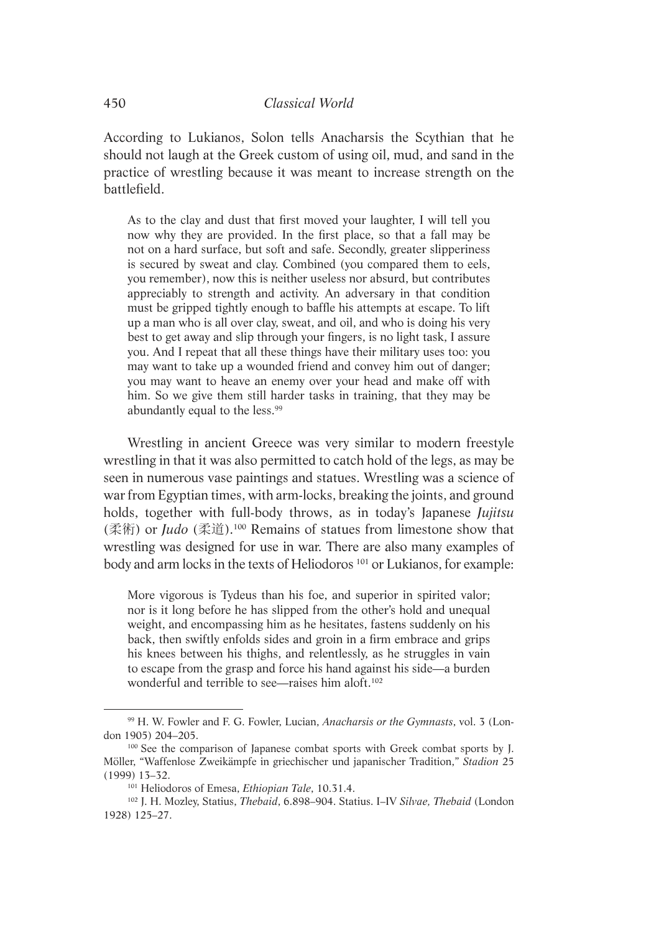According to Lukianos, Solon tells Anacharsis the Scythian that he should not laugh at the Greek custom of using oil, mud, and sand in the practice of wrestling because it was meant to increase strength on the battlefield.

As to the clay and dust that first moved your laughter, I will tell you now why they are provided. In the first place, so that a fall may be not on a hard surface, but soft and safe. Secondly, greater slipperiness is secured by sweat and clay. Combined (you compared them to eels, you remember), now this is neither useless nor absurd, but contributes appreciably to strength and activity. An adversary in that condition must be gripped tightly enough to baffle his attempts at escape. To lift up a man who is all over clay, sweat, and oil, and who is doing his very best to get away and slip through your fingers, is no light task, I assure you. And I repeat that all these things have their military uses too: you may want to take up a wounded friend and convey him out of danger; you may want to heave an enemy over your head and make off with him. So we give them still harder tasks in training, that they may be abundantly equal to the less.<sup>99</sup>

Wrestling in ancient Greece was very similar to modern freestyle wrestling in that it was also permitted to catch hold of the legs, as may be seen in numerous vase paintings and statues. Wrestling was a science of war from Egyptian times, with arm-locks, breaking the joints, and ground holds, together with full-body throws, as in today's Japanese *Jujitsu* (柔術) or *Judo* (柔道).<sup>100</sup> Remains of statues from limestone show that wrestling was designed for use in war. There are also many examples of body and arm locks in the texts of Heliodoros<sup>101</sup> or Lukianos, for example:

More vigorous is Tydeus than his foe, and superior in spirited valor; nor is it long before he has slipped from the other's hold and unequal weight, and encompassing him as he hesitates, fastens suddenly on his back, then swiftly enfolds sides and groin in a firm embrace and grips his knees between his thighs, and relentlessly, as he struggles in vain to escape from the grasp and force his hand against his side—a burden wonderful and terrible to see—raises him aloft.<sup>102</sup>

<sup>99</sup> H. W. Fowler and F. G. Fowler, Lucian, *Anacharsis or the Gymnasts*, vol. 3 (London 1905) 204–205.

<sup>&</sup>lt;sup>100</sup> See the comparison of Japanese combat sports with Greek combat sports by J. Möller, "Waffenlose Zweikämpfe in griechischer und japanischer Tradition," *Stadion* 25 (1999) 13–32.

<sup>&</sup>lt;sup>101</sup> Heliodoros of Emesa, *Ethiopian Tale*, 10.31.4.

<sup>&</sup>lt;sup>102</sup> J. H. Mozley, Statius, *Thebaid*, 6.898-904. Statius. I-IV *Silvae, Thebaid* (London 1928) 125–27.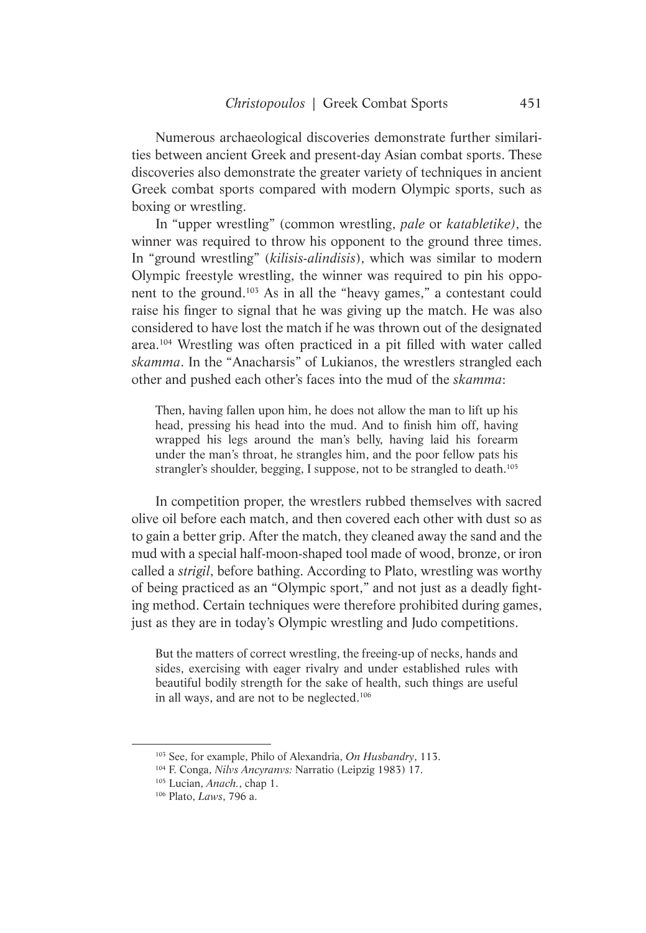Numerous archaeological discoveries demonstrate further similarities between ancient Greek and present-day Asian combat sports. These discoveries also demonstrate the greater variety of techniques in ancient Greek combat sports compared with modern Olympic sports, such as boxing or wrestling.

In "upper wrestling" (common wrestling, *pale* or *katabletike)*, the winner was required to throw his opponent to the ground three times. In "ground wrestling" (*kilisis-alindisis*), which was similar to modern Olympic freestyle wrestling, the winner was required to pin his opponent to the ground.<sup>103</sup> As in all the "heavy games," a contestant could raise his finger to signal that he was giving up the match. He was also considered to have lost the match if he was thrown out of the designated area.<sup>104</sup> Wrestling was often practiced in a pit filled with water called *skamma*. In the "Anacharsis" of Lukianos, the wrestlers strangled each other and pushed each other's faces into the mud of the *skamma*:

Then, having fallen upon him, he does not allow the man to lift up his head, pressing his head into the mud. And to finish him off, having wrapped his legs around the man's belly, having laid his forearm under the man's throat, he strangles him, and the poor fellow pats his strangler's shoulder, begging, I suppose, not to be strangled to death.<sup>105</sup>

In competition proper, the wrestlers rubbed themselves with sacred olive oil before each match, and then covered each other with dust so as to gain a better grip. After the match, they cleaned away the sand and the mud with a special half-moon-shaped tool made of wood, bronze, or iron called a *strigil*, before bathing. According to Plato, wrestling was worthy of being practiced as an "Olympic sport," and not just as a deadly fighting method. Certain techniques were therefore prohibited during games, just as they are in today's Olympic wrestling and Judo competitions.

But the matters of correct wrestling, the freeing-up of necks, hands and sides, exercising with eager rivalry and under established rules with beautiful bodily strength for the sake of health, such things are useful in all ways, and are not to be neglected.<sup>106</sup>

<sup>&</sup>lt;sup>103</sup> See, for example, Philo of Alexandria, *On Husbandry*, 113.

<sup>104</sup>F. Conga, *Nilvs Ancyranvs:* Narratio (Leipzig 1983) 17.

<sup>105</sup>Lucian, *Anach.*, chap 1.

<sup>106</sup> Plato, *Laws*, 796 a.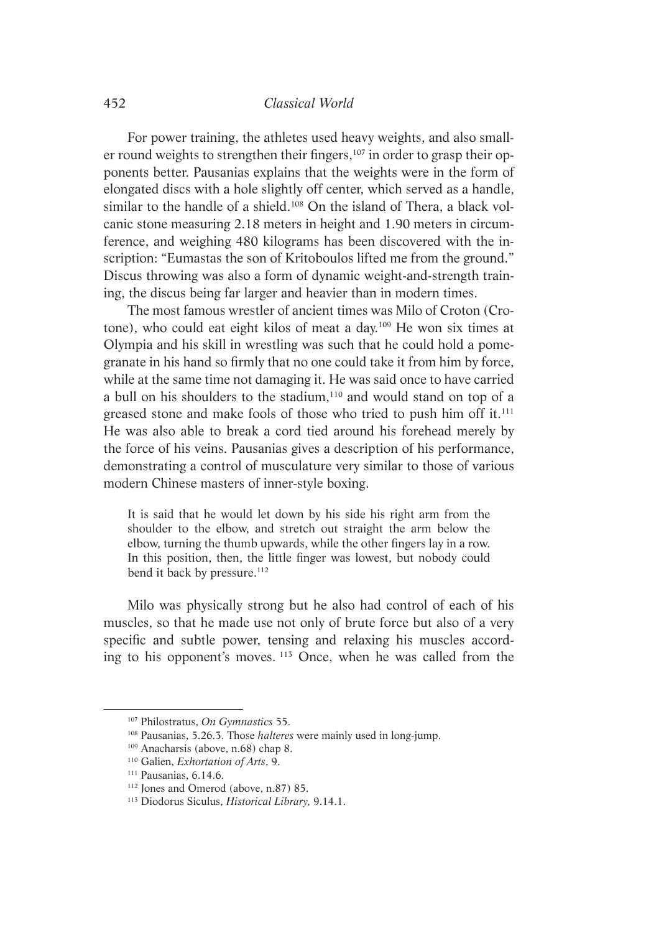For power training, the athletes used heavy weights, and also smaller round weights to strengthen their fingers,<sup>107</sup> in order to grasp their opponents better. Pausanias explains that the weights were in the form of elongated discs with a hole slightly off center, which served as a handle, similar to the handle of a shield.<sup>108</sup> On the island of Thera, a black volcanic stone measuring 2.18 meters in height and 1.90 meters in circumference, and weighing 480 kilograms has been discovered with the inscription: "Eumastas the son of Kritoboulos lifted me from the ground." Discus throwing was also a form of dynamic weight-and-strength training, the discus being far larger and heavier than in modern times.

The most famous wrestler of ancient times was Milo of Croton (Crotone), who could eat eight kilos of meat a day.<sup>109</sup> He won six times at Olympia and his skill in wrestling was such that he could hold a pomegranate in his hand so firmly that no one could take it from him by force, while at the same time not damaging it. He was said once to have carried a bull on his shoulders to the stadium,<sup>110</sup> and would stand on top of a greased stone and make fools of those who tried to push him off it.<sup>111</sup> He was also able to break a cord tied around his forehead merely by the force of his veins. Pausanias gives a description of his performance, demonstrating a control of musculature very similar to those of various modern Chinese masters of inner-style boxing.

It is said that he would let down by his side his right arm from the shoulder to the elbow, and stretch out straight the arm below the elbow, turning the thumb upwards, while the other fingers lay in a row. In this position, then, the little finger was lowest, but nobody could bend it back by pressure.<sup>112</sup>

Milo was physically strong but he also had control of each of his muscles, so that he made use not only of brute force but also of a very specific and subtle power, tensing and relaxing his muscles according to his opponent's moves.<sup>113</sup> Once, when he was called from the

<sup>107</sup>Philostratus, *On Gymnastics* 55.

<sup>&</sup>lt;sup>108</sup> Pausanias, 5.26.3. Those *halteres* were mainly used in long-jump.

<sup>&</sup>lt;sup>109</sup> Anacharsis (above, n.68) chap 8.

<sup>110</sup>Galien, *Exhortation of Arts*, 9.

<sup>111</sup>Pausanias, 6.14.6.

<sup>&</sup>lt;sup>112</sup> Jones and Omerod (above, n.87) 85.

<sup>113</sup> Diodorus Siculus, *Historical Library,* 9.14.1.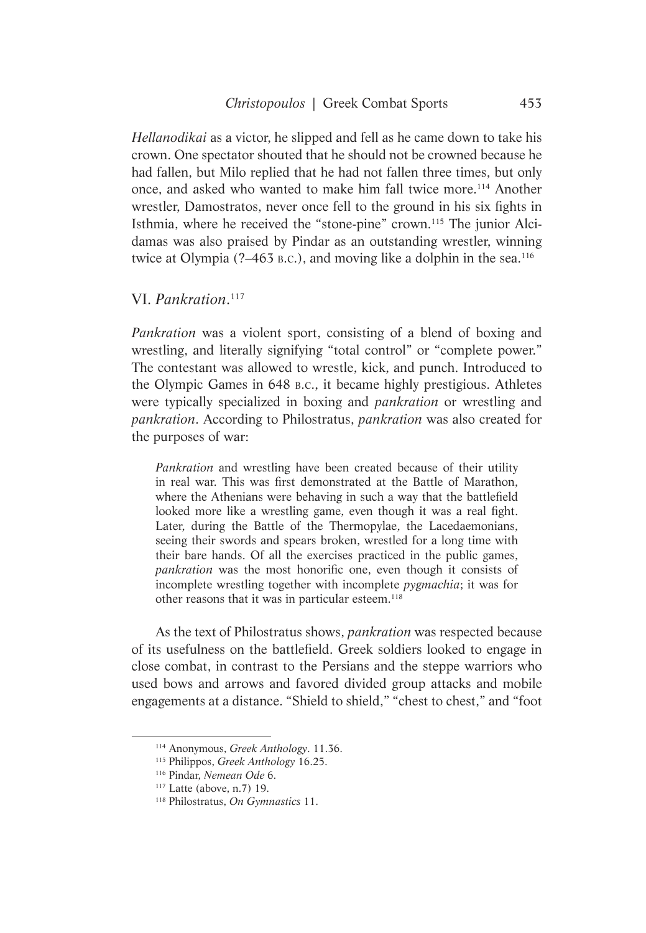*Hellanodikai* as a victor, he slipped and fell as he came down to take his crown. One spectator shouted that he should not be crowned because he had fallen, but Milo replied that he had not fallen three times, but only once, and asked who wanted to make him fall twice more.<sup>114</sup> Another wrestler, Damostratos, never once fell to the ground in his six fights in Isthmia, where he received the "stone-pine" crown.115 The junior Alcidamas was also praised by Pindar as an outstanding wrestler, winning twice at Olympia (?–463 B.C.), and moving like a dolphin in the sea.<sup>116</sup>

# VI. *Pankration*. 117

*Pankration* was a violent sport, consisting of a blend of boxing and wrestling, and literally signifying "total control" or "complete power." The contestant was allowed to wrestle, kick, and punch. Introduced to the Olympic Games in 648 B.C., it became highly prestigious. Athletes were typically specialized in boxing and *pankration* or wrestling and *pankration*. According to Philostratus, *pankration* was also created for the purposes of war:

*Pankration* and wrestling have been created because of their utility in real war. This was first demonstrated at the Battle of Marathon, where the Athenians were behaving in such a way that the battlefield looked more like a wrestling game, even though it was a real fight. Later, during the Battle of the Thermopylae, the Lacedaemonians, seeing their swords and spears broken, wrestled for a long time with their bare hands. Of all the exercises practiced in the public games, *pankration* was the most honorific one, even though it consists of incomplete wrestling together with incomplete *pygmachia*; it was for other reasons that it was in particular esteem.<sup>118</sup>

As the text of Philostratus shows, *pankration* was respected because of its usefulness on the battlefield. Greek soldiers looked to engage in close combat, in contrast to the Persians and the steppe warriors who used bows and arrows and favored divided group attacks and mobile engagements at a distance. "Shield to shield," "chest to chest," and "foot

<sup>114</sup>Anonymous, *Greek Anthology*. 11.36.

<sup>&</sup>lt;sup>115</sup> Philippos, *Greek Anthology* 16.25.

<sup>&</sup>lt;sup>116</sup> Pindar, *Nemean Ode* 6.

<sup>117</sup>Latte (above, n.7) 19.

<sup>118</sup> Philostratus, *On Gymnastics* 11.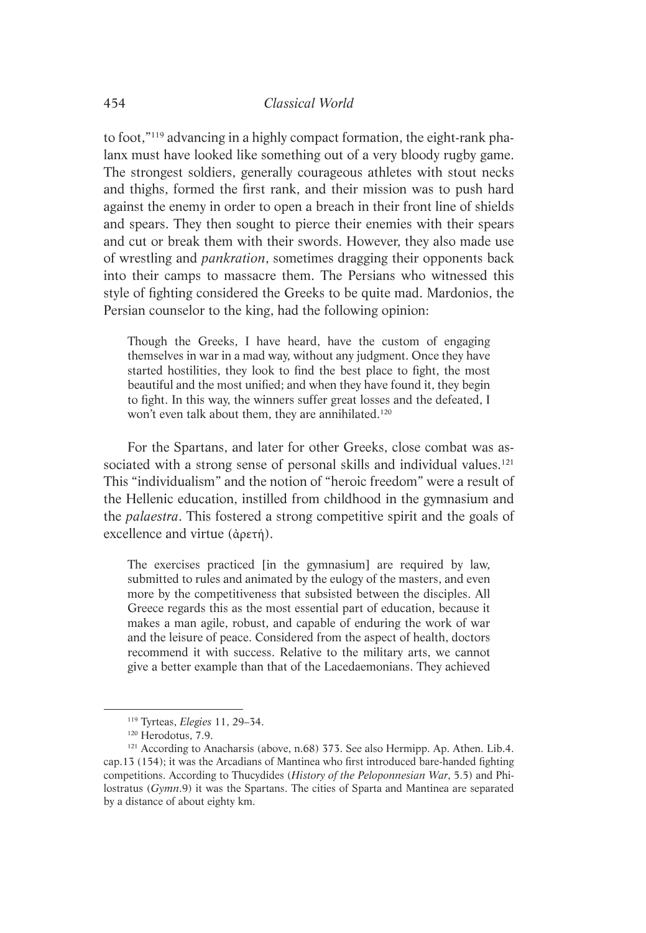to foot,"119 advancing in a highly compact formation, the eight-rank phalanx must have looked like something out of a very bloody rugby game. The strongest soldiers, generally courageous athletes with stout necks and thighs, formed the first rank, and their mission was to push hard against the enemy in order to open a breach in their front line of shields and spears. They then sought to pierce their enemies with their spears and cut or break them with their swords. However, they also made use of wrestling and *pankration*, sometimes dragging their opponents back into their camps to massacre them. The Persians who witnessed this style of fighting considered the Greeks to be quite mad. Mardonios, the Persian counselor to the king, had the following opinion:

Though the Greeks, I have heard, have the custom of engaging themselves in war in a mad way, without any judgment. Once they have started hostilities, they look to find the best place to fight, the most beautiful and the most unified; and when they have found it, they begin to fight. In this way, the winners suffer great losses and the defeated, I won't even talk about them, they are annihilated.<sup>120</sup>

For the Spartans, and later for other Greeks, close combat was associated with a strong sense of personal skills and individual values.<sup>121</sup> This "individualism" and the notion of "heroic freedom" were a result of the Hellenic education, instilled from childhood in the gymnasium and the *palaestra*. This fostered a strong competitive spirit and the goals of excellence and virtue (ἀρετή).

The exercises practiced [in the gymnasium] are required by law, submitted to rules and animated by the eulogy of the masters, and even more by the competitiveness that subsisted between the disciples. All Greece regards this as the most essential part of education, because it makes a man agile, robust, and capable of enduring the work of war and the leisure of peace. Considered from the aspect of health, doctors recommend it with success. Relative to the military arts, we cannot give a better example than that of the Lacedaemonians. They achieved

<sup>119</sup>Tyrteas, *Elegies* 11, 29–34.

 $120$  Herodotus,  $7.9$ .

<sup>&</sup>lt;sup>121</sup> According to Anacharsis (above, n.68) 373. See also Hermipp. Ap. Athen. Lib.4. cap.13 (154); it was the Arcadians of Mantinea who first introduced bare-handed fighting competitions. According to Thucydides (*History of the Peloponnesian War*, 5.5) and Philostratus (*Gymn*.9) it was the Spartans. The cities of Sparta and Mantinea are separated by a distance of about eighty km.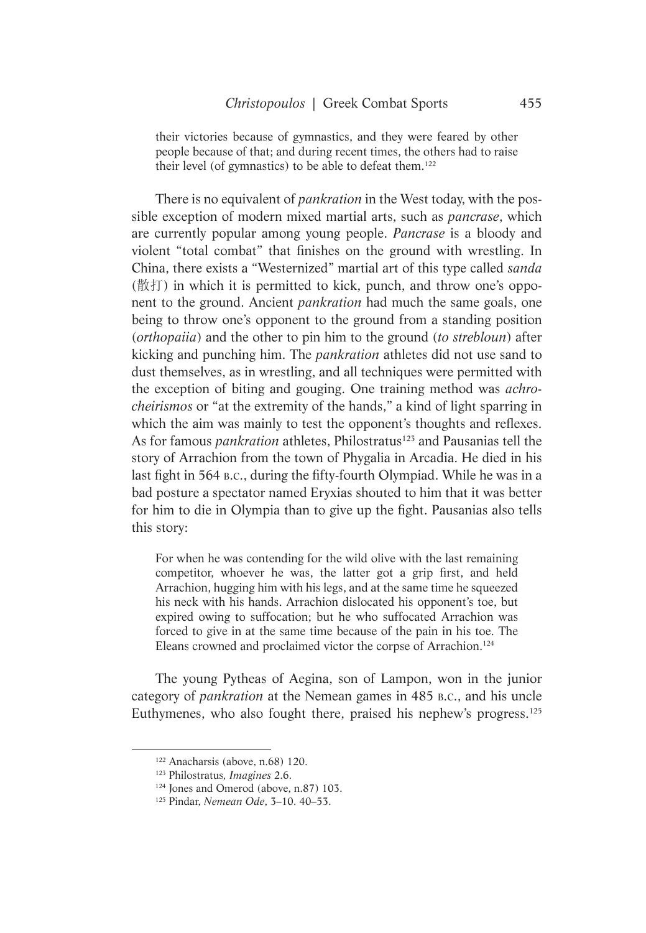their victories because of gymnastics, and they were feared by other people because of that; and during recent times, the others had to raise their level (of gymnastics) to be able to defeat them.<sup>122</sup>

There is no equivalent of *pankration* in the West today, with the possible exception of modern mixed martial arts, such as *pancrase*, which are currently popular among young people. *Pancrase* is a bloody and violent "total combat" that finishes on the ground with wrestling. In China, there exists a "Westernized" martial art of this type called *sanda* (散打) in which it is permitted to kick, punch, and throw one's opponent to the ground. Ancient *pankration* had much the same goals, one being to throw one's opponent to the ground from a standing position (*orthopaiia*) and the other to pin him to the ground (*to strebloun*) after kicking and punching him. The *pankration* athletes did not use sand to dust themselves, as in wrestling, and all techniques were permitted with the exception of biting and gouging. One training method was *achrocheirismos* or "at the extremity of the hands," a kind of light sparring in which the aim was mainly to test the opponent's thoughts and reflexes. As for famous *pankration* athletes, Philostratus<sup>123</sup> and Pausanias tell the story of Arrachion from the town of Phygalia in Arcadia. He died in his last fight in 564 B.C., during the fifty-fourth Olympiad. While he was in a bad posture a spectator named Eryxias shouted to him that it was better for him to die in Olympia than to give up the fight. Pausanias also tells this story:

For when he was contending for the wild olive with the last remaining competitor, whoever he was, the latter got a grip first, and held Arrachion, hugging him with his legs, and at the same time he squeezed his neck with his hands. Arrachion dislocated his opponent's toe, but expired owing to suffocation; but he who suffocated Arrachion was forced to give in at the same time because of the pain in his toe. The Eleans crowned and proclaimed victor the corpse of Arrachion.<sup>124</sup>

The young Pytheas of Aegina, son of Lampon, won in the junior category of *pankration* at the Nemean games in 485 B.C., and his uncle Euthymenes, who also fought there, praised his nephew's progress.<sup>125</sup>

 $122$  Anacharsis (above, n.68) 120.

<sup>123</sup>Philostratus*, Imagines* 2.6.

<sup>&</sup>lt;sup>124</sup> Jones and Omerod (above, n.87) 103.

<sup>125</sup> Pindar, *Nemean Ode*, 3–10. 40–53.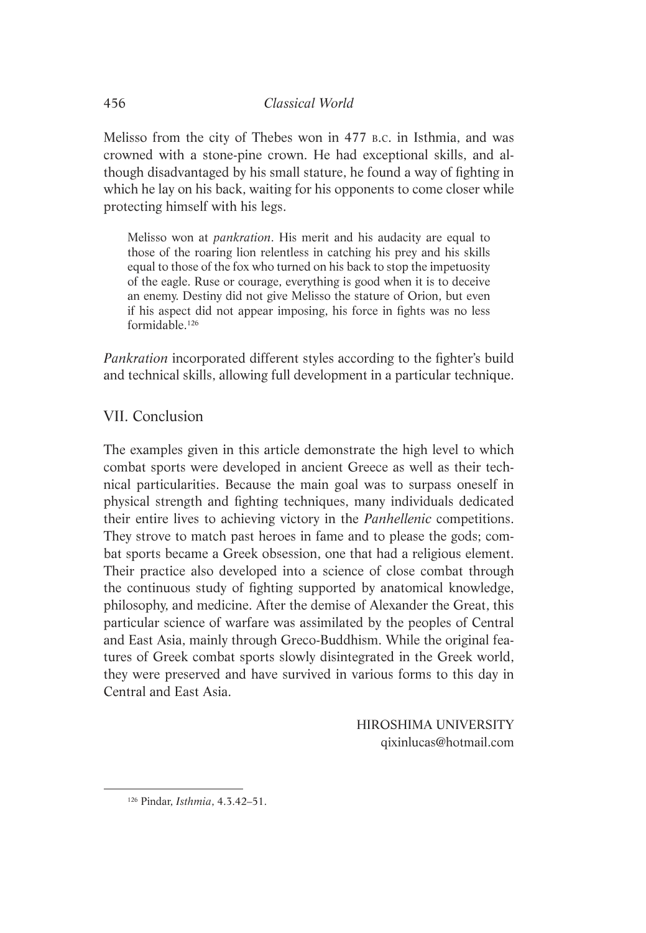Melisso from the city of Thebes won in 477 B.C. in Isthmia, and was crowned with a stone-pine crown. He had exceptional skills, and although disadvantaged by his small stature, he found a way of fighting in which he lay on his back, waiting for his opponents to come closer while protecting himself with his legs.

Melisso won at *pankration*. His merit and his audacity are equal to those of the roaring lion relentless in catching his prey and his skills equal to those of the fox who turned on his back to stop the impetuosity of the eagle. Ruse or courage, everything is good when it is to deceive an enemy. Destiny did not give Melisso the stature of Orion, but even if his aspect did not appear imposing, his force in fights was no less formidable.<sup>126</sup>

*Pankration* incorporated different styles according to the fighter's build and technical skills, allowing full development in a particular technique.

## VII. Conclusion

The examples given in this article demonstrate the high level to which combat sports were developed in ancient Greece as well as their technical particularities. Because the main goal was to surpass oneself in physical strength and fighting techniques, many individuals dedicated their entire lives to achieving victory in the *Panhellenic* competitions. They strove to match past heroes in fame and to please the gods; combat sports became a Greek obsession, one that had a religious element. Their practice also developed into a science of close combat through the continuous study of fighting supported by anatomical knowledge, philosophy, and medicine. After the demise of Alexander the Great, this particular science of warfare was assimilated by the peoples of Central and East Asia, mainly through Greco-Buddhism. While the original features of Greek combat sports slowly disintegrated in the Greek world, they were preserved and have survived in various forms to this day in Central and East Asia.

> HIROSHIMA UNIVERSITY qixinlucas@hotmail.com

<sup>126</sup> Pindar, *Isthmia*, 4.3.42–51.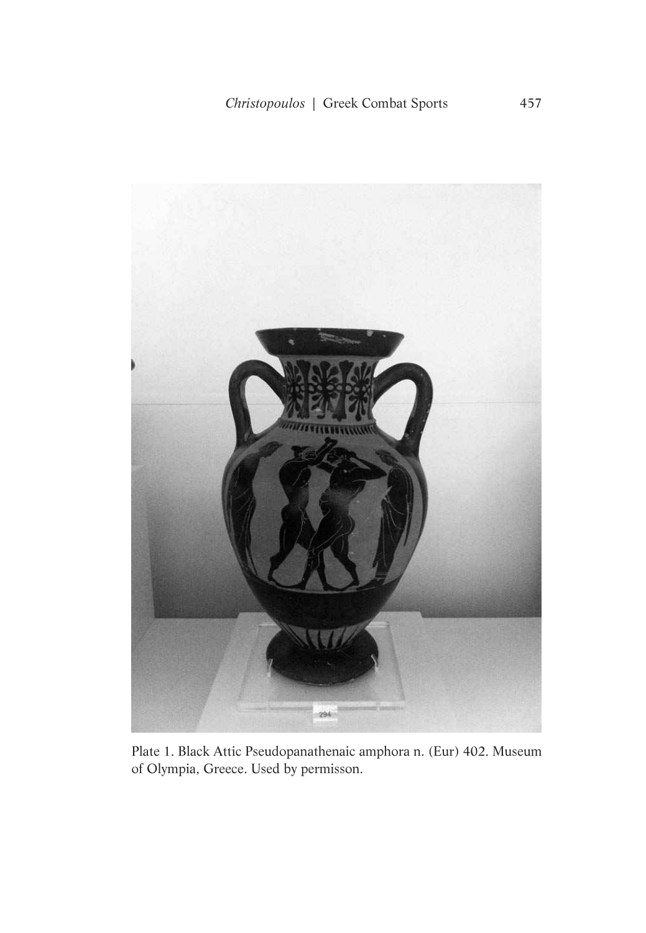

Plate 1. Black Attic Pseudopanathenaic amphora n. (Eur) 402. Museum of Olympia, Greece. Used by permisson.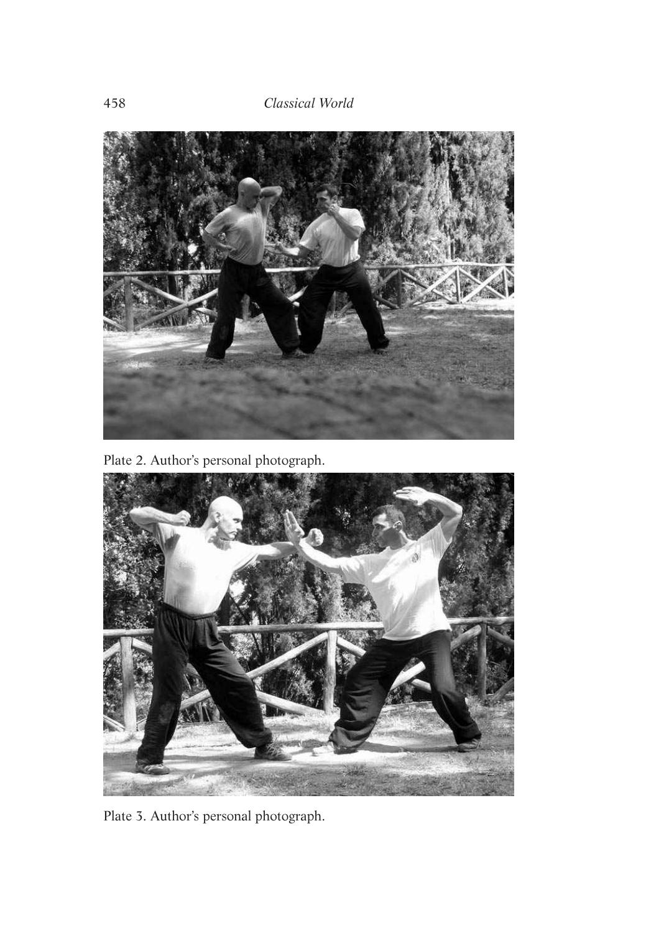

Plate 2. Author's personal photograph.



Plate 3. Author's personal photograph.